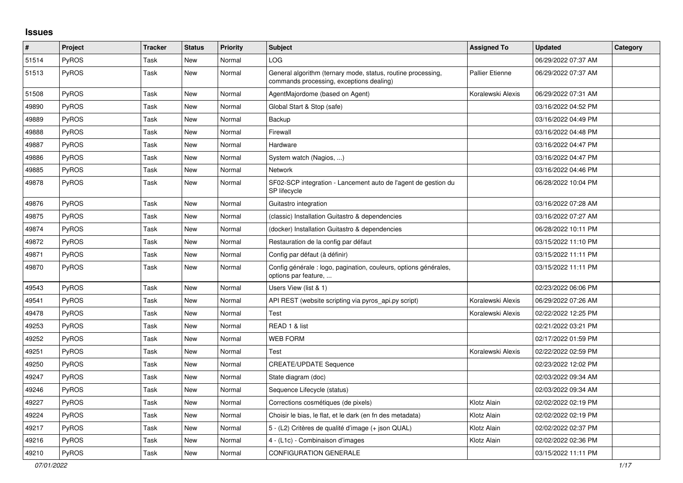## **Issues**

| $\vert$ # | Project      | <b>Tracker</b> | <b>Status</b> | <b>Priority</b> | <b>Subject</b>                                                                                           | <b>Assigned To</b>     | <b>Updated</b>      | Category |
|-----------|--------------|----------------|---------------|-----------------|----------------------------------------------------------------------------------------------------------|------------------------|---------------------|----------|
| 51514     | PyROS        | Task           | <b>New</b>    | Normal          | <b>LOG</b>                                                                                               |                        | 06/29/2022 07:37 AM |          |
| 51513     | PyROS        | Task           | <b>New</b>    | Normal          | General algorithm (ternary mode, status, routine processing,<br>commands processing, exceptions dealing) | <b>Pallier Etienne</b> | 06/29/2022 07:37 AM |          |
| 51508     | <b>PyROS</b> | Task           | New           | Normal          | AgentMajordome (based on Agent)                                                                          | Koralewski Alexis      | 06/29/2022 07:31 AM |          |
| 49890     | PyROS        | Task           | <b>New</b>    | Normal          | Global Start & Stop (safe)                                                                               |                        | 03/16/2022 04:52 PM |          |
| 49889     | <b>PyROS</b> | Task           | New           | Normal          | Backup                                                                                                   |                        | 03/16/2022 04:49 PM |          |
| 49888     | <b>PyROS</b> | Task           | <b>New</b>    | Normal          | Firewall                                                                                                 |                        | 03/16/2022 04:48 PM |          |
| 49887     | PyROS        | Task           | New           | Normal          | Hardware                                                                                                 |                        | 03/16/2022 04:47 PM |          |
| 49886     | <b>PyROS</b> | Task           | <b>New</b>    | Normal          | System watch (Nagios, )                                                                                  |                        | 03/16/2022 04:47 PM |          |
| 49885     | PyROS        | Task           | <b>New</b>    | Normal          | <b>Network</b>                                                                                           |                        | 03/16/2022 04:46 PM |          |
| 49878     | <b>PyROS</b> | Task           | New           | Normal          | SF02-SCP integration - Lancement auto de l'agent de gestion du<br>SP lifecycle                           |                        | 06/28/2022 10:04 PM |          |
| 49876     | PyROS        | Task           | <b>New</b>    | Normal          | Guitastro integration                                                                                    |                        | 03/16/2022 07:28 AM |          |
| 49875     | PyROS        | Task           | <b>New</b>    | Normal          | (classic) Installation Guitastro & dependencies                                                          |                        | 03/16/2022 07:27 AM |          |
| 49874     | <b>PyROS</b> | Task           | <b>New</b>    | Normal          | (docker) Installation Guitastro & dependencies                                                           |                        | 06/28/2022 10:11 PM |          |
| 49872     | <b>PyROS</b> | Task           | New           | Normal          | Restauration de la config par défaut                                                                     |                        | 03/15/2022 11:10 PM |          |
| 49871     | <b>PyROS</b> | Task           | New           | Normal          | Config par défaut (à définir)                                                                            |                        | 03/15/2022 11:11 PM |          |
| 49870     | PyROS        | Task           | New           | Normal          | Config générale : logo, pagination, couleurs, options générales,<br>options par feature,                 |                        | 03/15/2022 11:11 PM |          |
| 49543     | <b>PyROS</b> | Task           | New           | Normal          | Users View (list & 1)                                                                                    |                        | 02/23/2022 06:06 PM |          |
| 49541     | <b>PyROS</b> | Task           | New           | Normal          | API REST (website scripting via pyros_api.py script)                                                     | Koralewski Alexis      | 06/29/2022 07:26 AM |          |
| 49478     | PyROS        | Task           | <b>New</b>    | Normal          | Test                                                                                                     | Koralewski Alexis      | 02/22/2022 12:25 PM |          |
| 49253     | PyROS        | Task           | <b>New</b>    | Normal          | READ 1 & list                                                                                            |                        | 02/21/2022 03:21 PM |          |
| 49252     | <b>PyROS</b> | Task           | <b>New</b>    | Normal          | <b>WEB FORM</b>                                                                                          |                        | 02/17/2022 01:59 PM |          |
| 49251     | <b>PyROS</b> | Task           | <b>New</b>    | Normal          | Test                                                                                                     | Koralewski Alexis      | 02/22/2022 02:59 PM |          |
| 49250     | <b>PyROS</b> | Task           | <b>New</b>    | Normal          | <b>CREATE/UPDATE Sequence</b>                                                                            |                        | 02/23/2022 12:02 PM |          |
| 49247     | <b>PyROS</b> | Task           | New           | Normal          | State diagram (doc)                                                                                      |                        | 02/03/2022 09:34 AM |          |
| 49246     | <b>PyROS</b> | Task           | New           | Normal          | Sequence Lifecycle (status)                                                                              |                        | 02/03/2022 09:34 AM |          |
| 49227     | <b>PyROS</b> | Task           | New           | Normal          | Corrections cosmétiques (de pixels)                                                                      | Klotz Alain            | 02/02/2022 02:19 PM |          |
| 49224     | <b>PyROS</b> | Task           | New           | Normal          | Choisir le bias, le flat, et le dark (en fn des metadata)                                                | Klotz Alain            | 02/02/2022 02:19 PM |          |
| 49217     | <b>PyROS</b> | Task           | <b>New</b>    | Normal          | 5 - (L2) Critères de qualité d'image (+ json QUAL)                                                       | Klotz Alain            | 02/02/2022 02:37 PM |          |
| 49216     | PyROS        | Task           | New           | Normal          | 4 - (L1c) - Combinaison d'images                                                                         | Klotz Alain            | 02/02/2022 02:36 PM |          |
| 49210     | PyROS        | Task           | <b>New</b>    | Normal          | <b>CONFIGURATION GENERALE</b>                                                                            |                        | 03/15/2022 11:11 PM |          |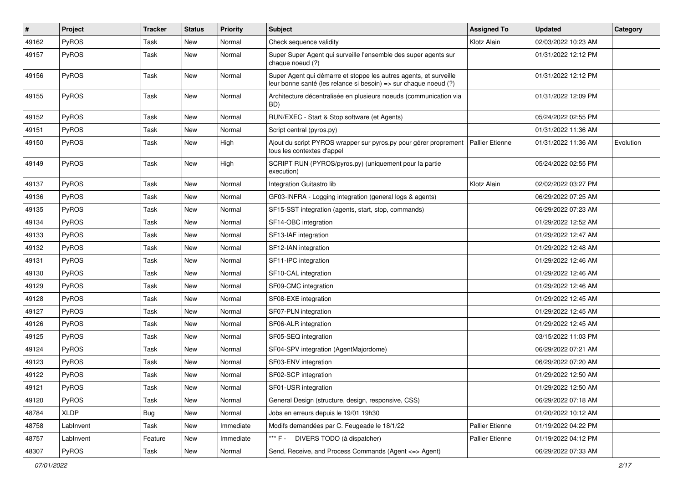| $\sharp$ | Project      | <b>Tracker</b> | <b>Status</b> | <b>Priority</b> | <b>Subject</b>                                                                                                                        | <b>Assigned To</b>     | <b>Updated</b>      | Category  |
|----------|--------------|----------------|---------------|-----------------|---------------------------------------------------------------------------------------------------------------------------------------|------------------------|---------------------|-----------|
| 49162    | PyROS        | Task           | New           | Normal          | Check sequence validity                                                                                                               | Klotz Alain            | 02/03/2022 10:23 AM |           |
| 49157    | PyROS        | Task           | New           | Normal          | Super Super Agent qui surveille l'ensemble des super agents sur<br>chaque noeud (?)                                                   |                        | 01/31/2022 12:12 PM |           |
| 49156    | PyROS        | Task           | New           | Normal          | Super Agent qui démarre et stoppe les autres agents, et surveille<br>leur bonne santé (les relance si besoin) => sur chaque noeud (?) |                        | 01/31/2022 12:12 PM |           |
| 49155    | <b>PyROS</b> | Task           | <b>New</b>    | Normal          | Architecture décentralisée en plusieurs noeuds (communication via<br>BD)                                                              |                        | 01/31/2022 12:09 PM |           |
| 49152    | PyROS        | Task           | New           | Normal          | RUN/EXEC - Start & Stop software (et Agents)                                                                                          |                        | 05/24/2022 02:55 PM |           |
| 49151    | <b>PyROS</b> | Task           | New           | Normal          | Script central (pyros.py)                                                                                                             |                        | 01/31/2022 11:36 AM |           |
| 49150    | PyROS        | Task           | New           | High            | Ajout du script PYROS wrapper sur pyros.py pour gérer proprement<br>tous les contextes d'appel                                        | <b>Pallier Etienne</b> | 01/31/2022 11:36 AM | Evolution |
| 49149    | PyROS        | Task           | New           | High            | SCRIPT RUN (PYROS/pyros.py) (uniquement pour la partie<br>execution)                                                                  |                        | 05/24/2022 02:55 PM |           |
| 49137    | PyROS        | Task           | New           | Normal          | Integration Guitastro lib                                                                                                             | Klotz Alain            | 02/02/2022 03:27 PM |           |
| 49136    | PyROS        | Task           | New           | Normal          | GF03-INFRA - Logging integration (general logs & agents)                                                                              |                        | 06/29/2022 07:25 AM |           |
| 49135    | PyROS        | Task           | New           | Normal          | SF15-SST integration (agents, start, stop, commands)                                                                                  |                        | 06/29/2022 07:23 AM |           |
| 49134    | <b>PyROS</b> | Task           | New           | Normal          | SF14-OBC integration                                                                                                                  |                        | 01/29/2022 12:52 AM |           |
| 49133    | PyROS        | Task           | <b>New</b>    | Normal          | SF13-IAF integration                                                                                                                  |                        | 01/29/2022 12:47 AM |           |
| 49132    | PyROS        | Task           | New           | Normal          | SF12-IAN integration                                                                                                                  |                        | 01/29/2022 12:48 AM |           |
| 49131    | PyROS        | Task           | New           | Normal          | SF11-IPC integration                                                                                                                  |                        | 01/29/2022 12:46 AM |           |
| 49130    | PyROS        | Task           | New           | Normal          | SF10-CAL integration                                                                                                                  |                        | 01/29/2022 12:46 AM |           |
| 49129    | PyROS        | Task           | New           | Normal          | SF09-CMC integration                                                                                                                  |                        | 01/29/2022 12:46 AM |           |
| 49128    | PyROS        | Task           | New           | Normal          | SF08-EXE integration                                                                                                                  |                        | 01/29/2022 12:45 AM |           |
| 49127    | PyROS        | Task           | New           | Normal          | SF07-PLN integration                                                                                                                  |                        | 01/29/2022 12:45 AM |           |
| 49126    | <b>PyROS</b> | Task           | New           | Normal          | SF06-ALR integration                                                                                                                  |                        | 01/29/2022 12:45 AM |           |
| 49125    | PyROS        | Task           | New           | Normal          | SF05-SEQ integration                                                                                                                  |                        | 03/15/2022 11:03 PM |           |
| 49124    | <b>PyROS</b> | Task           | New           | Normal          | SF04-SPV integration (AgentMajordome)                                                                                                 |                        | 06/29/2022 07:21 AM |           |
| 49123    | PyROS        | Task           | New           | Normal          | SF03-ENV integration                                                                                                                  |                        | 06/29/2022 07:20 AM |           |
| 49122    | PyROS        | Task           | New           | Normal          | SF02-SCP integration                                                                                                                  |                        | 01/29/2022 12:50 AM |           |
| 49121    | PyROS        | Task           | New           | Normal          | SF01-USR integration                                                                                                                  |                        | 01/29/2022 12:50 AM |           |
| 49120    | PyROS        | Task           | New           | Normal          | General Design (structure, design, responsive, CSS)                                                                                   |                        | 06/29/2022 07:18 AM |           |
| 48784    | <b>XLDP</b>  | <b>Bug</b>     | New           | Normal          | Jobs en erreurs depuis le 19/01 19h30                                                                                                 |                        | 01/20/2022 10:12 AM |           |
| 48758    | LabInvent    | Task           | New           | Immediate       | Modifs demandées par C. Feugeade le 18/1/22                                                                                           | Pallier Etienne        | 01/19/2022 04:22 PM |           |
| 48757    | LabInvent    | Feature        | New           | Immediate       | *** F -<br>DIVERS TODO (à dispatcher)                                                                                                 | Pallier Etienne        | 01/19/2022 04:12 PM |           |
| 48307    | PyROS        | Task           | New           | Normal          | Send, Receive, and Process Commands (Agent <= > Agent)                                                                                |                        | 06/29/2022 07:33 AM |           |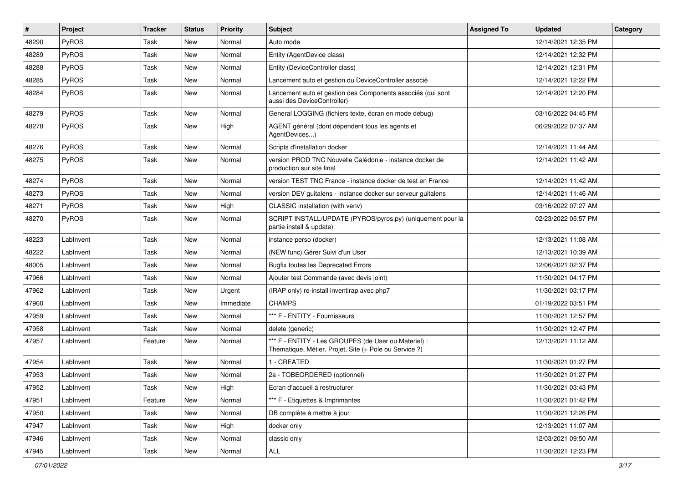| $\sharp$ | Project   | <b>Tracker</b> | <b>Status</b> | <b>Priority</b> | <b>Subject</b>                                                                                                 | <b>Assigned To</b> | <b>Updated</b>      | Category |
|----------|-----------|----------------|---------------|-----------------|----------------------------------------------------------------------------------------------------------------|--------------------|---------------------|----------|
| 48290    | PyROS     | Task           | New           | Normal          | Auto mode                                                                                                      |                    | 12/14/2021 12:35 PM |          |
| 48289    | PyROS     | Task           | <b>New</b>    | Normal          | Entity (AgentDevice class)                                                                                     |                    | 12/14/2021 12:32 PM |          |
| 48288    | PyROS     | Task           | New           | Normal          | Entity (DeviceController class)                                                                                |                    | 12/14/2021 12:31 PM |          |
| 48285    | PyROS     | Task           | New           | Normal          | Lancement auto et gestion du DeviceController associé                                                          |                    | 12/14/2021 12:22 PM |          |
| 48284    | PyROS     | Task           | New           | Normal          | Lancement auto et gestion des Components associés (qui sont<br>aussi des DeviceController)                     |                    | 12/14/2021 12:20 PM |          |
| 48279    | PyROS     | Task           | <b>New</b>    | Normal          | General LOGGING (fichiers texte, écran en mode debug)                                                          |                    | 03/16/2022 04:45 PM |          |
| 48278    | PyROS     | Task           | New           | High            | AGENT général (dont dépendent tous les agents et<br>AgentDevices)                                              |                    | 06/29/2022 07:37 AM |          |
| 48276    | PyROS     | Task           | New           | Normal          | Scripts d'installation docker                                                                                  |                    | 12/14/2021 11:44 AM |          |
| 48275    | PyROS     | Task           | <b>New</b>    | Normal          | version PROD TNC Nouvelle Calédonie - instance docker de<br>production sur site final                          |                    | 12/14/2021 11:42 AM |          |
| 48274    | PyROS     | Task           | New           | Normal          | version TEST TNC France - instance docker de test en France                                                    |                    | 12/14/2021 11:42 AM |          |
| 48273    | PyROS     | Task           | New           | Normal          | version DEV guitalens - instance docker sur serveur guitalens                                                  |                    | 12/14/2021 11:46 AM |          |
| 48271    | PyROS     | Task           | New           | High            | CLASSIC installation (with venv)                                                                               |                    | 03/16/2022 07:27 AM |          |
| 48270    | PyROS     | Task           | New           | Normal          | SCRIPT INSTALL/UPDATE (PYROS/pyros.py) (uniquement pour la<br>partie install & update)                         |                    | 02/23/2022 05:57 PM |          |
| 48223    | LabInvent | Task           | <b>New</b>    | Normal          | instance perso (docker)                                                                                        |                    | 12/13/2021 11:08 AM |          |
| 48222    | LabInvent | Task           | New           | Normal          | (NEW func) Gérer Suivi d'un User                                                                               |                    | 12/13/2021 10:39 AM |          |
| 48005    | LabInvent | Task           | New           | Normal          | <b>Bugfix toutes les Deprecated Errors</b>                                                                     |                    | 12/06/2021 02:37 PM |          |
| 47966    | LabInvent | Task           | New           | Normal          | Ajouter test Commande (avec devis joint)                                                                       |                    | 11/30/2021 04:17 PM |          |
| 47962    | LabInvent | Task           | New           | Urgent          | (IRAP only) re-install inventirap avec php7                                                                    |                    | 11/30/2021 03:17 PM |          |
| 47960    | LabInvent | Task           | New           | Immediate       | <b>CHAMPS</b>                                                                                                  |                    | 01/19/2022 03:51 PM |          |
| 47959    | LabInvent | Task           | New           | Normal          | *** F - ENTITY - Fournisseurs                                                                                  |                    | 11/30/2021 12:57 PM |          |
| 47958    | LabInvent | Task           | New           | Normal          | delete (generic)                                                                                               |                    | 11/30/2021 12:47 PM |          |
| 47957    | LabInvent | Feature        | New           | Normal          | *** F - ENTITY - Les GROUPES (de User ou Materiel) :<br>Thématique, Métier, Projet, Site (+ Pole ou Service ?) |                    | 12/13/2021 11:12 AM |          |
| 47954    | LabInvent | Task           | New           | Normal          | 1 - CREATED                                                                                                    |                    | 11/30/2021 01:27 PM |          |
| 47953    | LabInvent | Task           | New           | Normal          | 2a - TOBEORDERED (optionnel)                                                                                   |                    | 11/30/2021 01:27 PM |          |
| 47952    | LabInvent | Task           | New           | High            | Ecran d'accueil à restructurer                                                                                 |                    | 11/30/2021 03:43 PM |          |
| 47951    | LabInvent | Feature        | New           | Normal          | *** F - Etiquettes & Imprimantes                                                                               |                    | 11/30/2021 01:42 PM |          |
| 47950    | LabInvent | Task           | New           | Normal          | DB complète à mettre à jour                                                                                    |                    | 11/30/2021 12:26 PM |          |
| 47947    | LabInvent | Task           | New           | High            | docker only                                                                                                    |                    | 12/13/2021 11:07 AM |          |
| 47946    | LabInvent | Task           | New           | Normal          | classic only                                                                                                   |                    | 12/03/2021 09:50 AM |          |
| 47945    | LabInvent | Task           | New           | Normal          | $\mathsf{ALL}$                                                                                                 |                    | 11/30/2021 12:23 PM |          |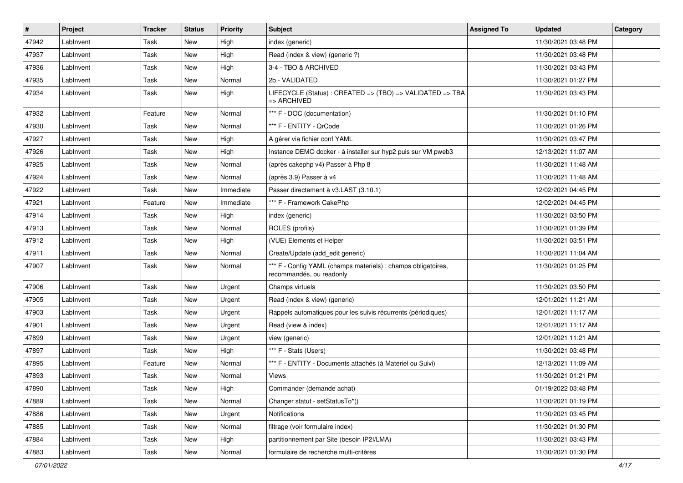| $\sharp$ | Project   | <b>Tracker</b> | <b>Status</b> | <b>Priority</b> | <b>Subject</b>                                                                            | <b>Assigned To</b> | <b>Updated</b>      | Category |
|----------|-----------|----------------|---------------|-----------------|-------------------------------------------------------------------------------------------|--------------------|---------------------|----------|
| 47942    | LabInvent | Task           | New           | High            | index (generic)                                                                           |                    | 11/30/2021 03:48 PM |          |
| 47937    | LabInvent | Task           | New           | High            | Read (index & view) (generic ?)                                                           |                    | 11/30/2021 03:48 PM |          |
| 47936    | LabInvent | Task           | New           | High            | 3-4 - TBO & ARCHIVED                                                                      |                    | 11/30/2021 03:43 PM |          |
| 47935    | LabInvent | Task           | New           | Normal          | 2b - VALIDATED                                                                            |                    | 11/30/2021 01:27 PM |          |
| 47934    | LabInvent | Task           | New           | High            | LIFECYCLE (Status): CREATED => (TBO) => VALIDATED => TBA<br>=> ARCHIVED                   |                    | 11/30/2021 03:43 PM |          |
| 47932    | LabInvent | Feature        | <b>New</b>    | Normal          | *** F - DOC (documentation)                                                               |                    | 11/30/2021 01:10 PM |          |
| 47930    | LabInvent | Task           | New           | Normal          | *** F - ENTITY - QrCode                                                                   |                    | 11/30/2021 01:26 PM |          |
| 47927    | LabInvent | Task           | New           | High            | A gérer via fichier conf YAML                                                             |                    | 11/30/2021 03:47 PM |          |
| 47926    | LabInvent | Task           | <b>New</b>    | High            | Instance DEMO docker - à installer sur hyp2 puis sur VM pweb3                             |                    | 12/13/2021 11:07 AM |          |
| 47925    | LabInvent | Task           | New           | Normal          | (après cakephp v4) Passer à Php 8                                                         |                    | 11/30/2021 11:48 AM |          |
| 47924    | LabInvent | Task           | New           | Normal          | (après 3.9) Passer à v4                                                                   |                    | 11/30/2021 11:48 AM |          |
| 47922    | LabInvent | Task           | New           | Immediate       | Passer directement à v3.LAST (3.10.1)                                                     |                    | 12/02/2021 04:45 PM |          |
| 47921    | LabInvent | Feature        | New           | Immediate       | *** F - Framework CakePhp                                                                 |                    | 12/02/2021 04:45 PM |          |
| 47914    | LabInvent | Task           | New           | High            | index (generic)                                                                           |                    | 11/30/2021 03:50 PM |          |
| 47913    | LabInvent | Task           | New           | Normal          | ROLES (profils)                                                                           |                    | 11/30/2021 01:39 PM |          |
| 47912    | LabInvent | Task           | New           | High            | (VUE) Elements et Helper                                                                  |                    | 11/30/2021 03:51 PM |          |
| 47911    | LabInvent | Task           | New           | Normal          | Create/Update (add_edit generic)                                                          |                    | 11/30/2021 11:04 AM |          |
| 47907    | LabInvent | Task           | New           | Normal          | *** F - Config YAML (champs materiels) : champs obligatoires,<br>recommandés, ou readonly |                    | 11/30/2021 01:25 PM |          |
| 47906    | LabInvent | Task           | New           | Urgent          | Champs virtuels                                                                           |                    | 11/30/2021 03:50 PM |          |
| 47905    | LabInvent | Task           | New           | Urgent          | Read (index & view) (generic)                                                             |                    | 12/01/2021 11:21 AM |          |
| 47903    | LabInvent | Task           | New           | Urgent          | Rappels automatiques pour les suivis récurrents (périodiques)                             |                    | 12/01/2021 11:17 AM |          |
| 47901    | LabInvent | Task           | New           | Urgent          | Read (view & index)                                                                       |                    | 12/01/2021 11:17 AM |          |
| 47899    | LabInvent | Task           | New           | Urgent          | view (generic)                                                                            |                    | 12/01/2021 11:21 AM |          |
| 47897    | LabInvent | Task           | New           | High            | *** F - Stats (Users)                                                                     |                    | 11/30/2021 03:48 PM |          |
| 47895    | LabInvent | Feature        | New           | Normal          | *** F - ENTITY - Documents attachés (à Materiel ou Suivi)                                 |                    | 12/13/2021 11:09 AM |          |
| 47893    | LabInvent | Task           | <b>New</b>    | Normal          | Views                                                                                     |                    | 11/30/2021 01:21 PM |          |
| 47890    | Lablnvent | Task           | New           | High            | Commander (demande achat)                                                                 |                    | 01/19/2022 03:48 PM |          |
| 47889    | LabInvent | Task           | New           | Normal          | Changer statut - setStatusTo*()                                                           |                    | 11/30/2021 01:19 PM |          |
| 47886    | LabInvent | Task           | New           | Urgent          | Notifications                                                                             |                    | 11/30/2021 03:45 PM |          |
| 47885    | LabInvent | Task           | New           | Normal          | filtrage (voir formulaire index)                                                          |                    | 11/30/2021 01:30 PM |          |
| 47884    | LabInvent | Task           | New           | High            | partitionnement par Site (besoin IP2I/LMA)                                                |                    | 11/30/2021 03:43 PM |          |
| 47883    | LabInvent | Task           | New           | Normal          | formulaire de recherche multi-critères                                                    |                    | 11/30/2021 01:30 PM |          |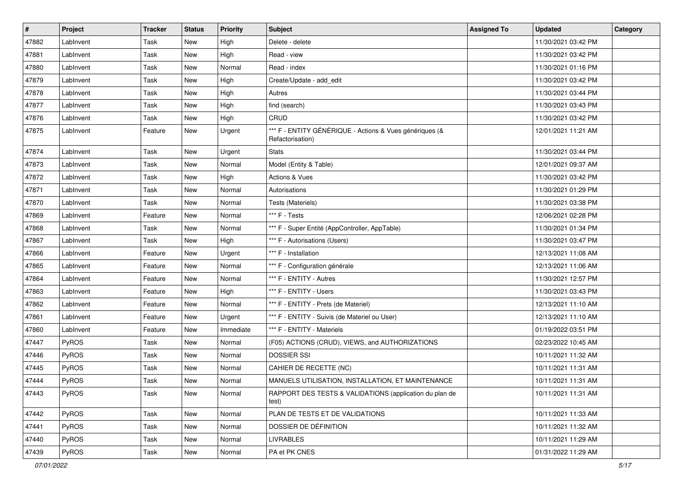| $\vert$ # | Project   | <b>Tracker</b> | <b>Status</b> | <b>Priority</b> | Subject                                                                     | <b>Assigned To</b> | <b>Updated</b>      | Category |
|-----------|-----------|----------------|---------------|-----------------|-----------------------------------------------------------------------------|--------------------|---------------------|----------|
| 47882     | LabInvent | Task           | New           | High            | Delete - delete                                                             |                    | 11/30/2021 03:42 PM |          |
| 47881     | LabInvent | Task           | New           | High            | Read - view                                                                 |                    | 11/30/2021 03:42 PM |          |
| 47880     | LabInvent | Task           | New           | Normal          | Read - index                                                                |                    | 11/30/2021 01:16 PM |          |
| 47879     | LabInvent | Task           | New           | High            | Create/Update - add_edit                                                    |                    | 11/30/2021 03:42 PM |          |
| 47878     | LabInvent | Task           | New           | High            | Autres                                                                      |                    | 11/30/2021 03:44 PM |          |
| 47877     | LabInvent | Task           | New           | High            | find (search)                                                               |                    | 11/30/2021 03:43 PM |          |
| 47876     | LabInvent | Task           | New           | High            | CRUD                                                                        |                    | 11/30/2021 03:42 PM |          |
| 47875     | LabInvent | Feature        | New           | Urgent          | *** F - ENTITY GÉNÉRIQUE - Actions & Vues génériques (&<br>Refactorisation) |                    | 12/01/2021 11:21 AM |          |
| 47874     | Lablnvent | Task           | New           | Urgent          | <b>Stats</b>                                                                |                    | 11/30/2021 03:44 PM |          |
| 47873     | LabInvent | Task           | New           | Normal          | Model (Entity & Table)                                                      |                    | 12/01/2021 09:37 AM |          |
| 47872     | LabInvent | Task           | New           | High            | Actions & Vues                                                              |                    | 11/30/2021 03:42 PM |          |
| 47871     | Lablnvent | Task           | New           | Normal          | Autorisations                                                               |                    | 11/30/2021 01:29 PM |          |
| 47870     | LabInvent | Task           | New           | Normal          | Tests (Materiels)                                                           |                    | 11/30/2021 03:38 PM |          |
| 47869     | LabInvent | Feature        | New           | Normal          | *** F - Tests                                                               |                    | 12/06/2021 02:28 PM |          |
| 47868     | LabInvent | Task           | New           | Normal          | *** F - Super Entité (AppController, AppTable)                              |                    | 11/30/2021 01:34 PM |          |
| 47867     | LabInvent | Task           | New           | High            | *** F - Autorisations (Users)                                               |                    | 11/30/2021 03:47 PM |          |
| 47866     | LabInvent | Feature        | New           | Urgent          | *** F - Installation                                                        |                    | 12/13/2021 11:08 AM |          |
| 47865     | LabInvent | Feature        | New           | Normal          | *** F - Configuration générale                                              |                    | 12/13/2021 11:06 AM |          |
| 47864     | LabInvent | Feature        | New           | Normal          | *** F - ENTITY - Autres                                                     |                    | 11/30/2021 12:57 PM |          |
| 47863     | LabInvent | Feature        | New           | High            | *** F - ENTITY - Users                                                      |                    | 11/30/2021 03:43 PM |          |
| 47862     | LabInvent | Feature        | New           | Normal          | *** F - ENTITY - Prets (de Materiel)                                        |                    | 12/13/2021 11:10 AM |          |
| 47861     | LabInvent | Feature        | New           | Urgent          | *** F - ENTITY - Suivis (de Materiel ou User)                               |                    | 12/13/2021 11:10 AM |          |
| 47860     | LabInvent | Feature        | New           | Immediate       | *** F - ENTITY - Materiels                                                  |                    | 01/19/2022 03:51 PM |          |
| 47447     | PyROS     | Task           | New           | Normal          | (F05) ACTIONS (CRUD), VIEWS, and AUTHORIZATIONS                             |                    | 02/23/2022 10:45 AM |          |
| 47446     | PyROS     | Task           | New           | Normal          | <b>DOSSIER SSI</b>                                                          |                    | 10/11/2021 11:32 AM |          |
| 47445     | PyROS     | Task           | New           | Normal          | CAHIER DE RECETTE (NC)                                                      |                    | 10/11/2021 11:31 AM |          |
| 47444     | PyROS     | Task           | New           | Normal          | MANUELS UTILISATION, INSTALLATION, ET MAINTENANCE                           |                    | 10/11/2021 11:31 AM |          |
| 47443     | PyROS     | Task           | New           | Normal          | RAPPORT DES TESTS & VALIDATIONS (application du plan de<br>test)            |                    | 10/11/2021 11:31 AM |          |
| 47442     | PyROS     | Task           | New           | Normal          | PLAN DE TESTS ET DE VALIDATIONS                                             |                    | 10/11/2021 11:33 AM |          |
| 47441     | PyROS     | Task           | New           | Normal          | DOSSIER DE DÉFINITION                                                       |                    | 10/11/2021 11:32 AM |          |
| 47440     | PyROS     | Task           | New           | Normal          | <b>LIVRABLES</b>                                                            |                    | 10/11/2021 11:29 AM |          |
| 47439     | PyROS     | Task           | New           | Normal          | PA et PK CNES                                                               |                    | 01/31/2022 11:29 AM |          |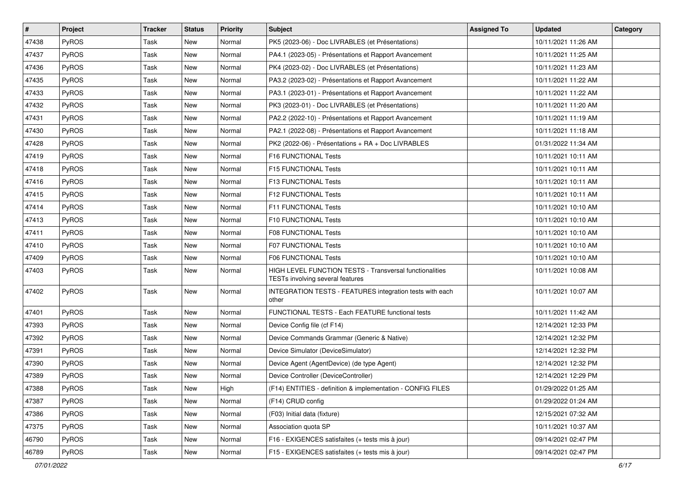| $\vert$ # | Project | <b>Tracker</b> | <b>Status</b> | <b>Priority</b> | Subject                                                                                     | <b>Assigned To</b> | <b>Updated</b>      | Category |
|-----------|---------|----------------|---------------|-----------------|---------------------------------------------------------------------------------------------|--------------------|---------------------|----------|
| 47438     | PyROS   | Task           | New           | Normal          | PK5 (2023-06) - Doc LIVRABLES (et Présentations)                                            |                    | 10/11/2021 11:26 AM |          |
| 47437     | PyROS   | Task           | New           | Normal          | PA4.1 (2023-05) - Présentations et Rapport Avancement                                       |                    | 10/11/2021 11:25 AM |          |
| 47436     | PyROS   | Task           | New           | Normal          | PK4 (2023-02) - Doc LIVRABLES (et Présentations)                                            |                    | 10/11/2021 11:23 AM |          |
| 47435     | PyROS   | Task           | New           | Normal          | PA3.2 (2023-02) - Présentations et Rapport Avancement                                       |                    | 10/11/2021 11:22 AM |          |
| 47433     | PyROS   | Task           | <b>New</b>    | Normal          | PA3.1 (2023-01) - Présentations et Rapport Avancement                                       |                    | 10/11/2021 11:22 AM |          |
| 47432     | PyROS   | Task           | New           | Normal          | PK3 (2023-01) - Doc LIVRABLES (et Présentations)                                            |                    | 10/11/2021 11:20 AM |          |
| 47431     | PyROS   | Task           | New           | Normal          | PA2.2 (2022-10) - Présentations et Rapport Avancement                                       |                    | 10/11/2021 11:19 AM |          |
| 47430     | PyROS   | Task           | New           | Normal          | PA2.1 (2022-08) - Présentations et Rapport Avancement                                       |                    | 10/11/2021 11:18 AM |          |
| 47428     | PyROS   | Task           | New           | Normal          | PK2 (2022-06) - Présentations + RA + Doc LIVRABLES                                          |                    | 01/31/2022 11:34 AM |          |
| 47419     | PyROS   | Task           | New           | Normal          | F16 FUNCTIONAL Tests                                                                        |                    | 10/11/2021 10:11 AM |          |
| 47418     | PyROS   | Task           | New           | Normal          | F15 FUNCTIONAL Tests                                                                        |                    | 10/11/2021 10:11 AM |          |
| 47416     | PyROS   | Task           | New           | Normal          | F13 FUNCTIONAL Tests                                                                        |                    | 10/11/2021 10:11 AM |          |
| 47415     | PyROS   | Task           | New           | Normal          | <b>F12 FUNCTIONAL Tests</b>                                                                 |                    | 10/11/2021 10:11 AM |          |
| 47414     | PyROS   | Task           | <b>New</b>    | Normal          | F11 FUNCTIONAL Tests                                                                        |                    | 10/11/2021 10:10 AM |          |
| 47413     | PyROS   | Task           | <b>New</b>    | Normal          | F10 FUNCTIONAL Tests                                                                        |                    | 10/11/2021 10:10 AM |          |
| 47411     | PyROS   | Task           | New           | Normal          | <b>F08 FUNCTIONAL Tests</b>                                                                 |                    | 10/11/2021 10:10 AM |          |
| 47410     | PyROS   | Task           | New           | Normal          | <b>F07 FUNCTIONAL Tests</b>                                                                 |                    | 10/11/2021 10:10 AM |          |
| 47409     | PyROS   | Task           | <b>New</b>    | Normal          | <b>F06 FUNCTIONAL Tests</b>                                                                 |                    | 10/11/2021 10:10 AM |          |
| 47403     | PyROS   | Task           | New           | Normal          | HIGH LEVEL FUNCTION TESTS - Transversal functionalities<br>TESTs involving several features |                    | 10/11/2021 10:08 AM |          |
| 47402     | PyROS   | Task           | New           | Normal          | INTEGRATION TESTS - FEATURES integration tests with each<br>other                           |                    | 10/11/2021 10:07 AM |          |
| 47401     | PyROS   | Task           | <b>New</b>    | Normal          | FUNCTIONAL TESTS - Each FEATURE functional tests                                            |                    | 10/11/2021 11:42 AM |          |
| 47393     | PyROS   | Task           | New           | Normal          | Device Config file (cf F14)                                                                 |                    | 12/14/2021 12:33 PM |          |
| 47392     | PyROS   | Task           | New           | Normal          | Device Commands Grammar (Generic & Native)                                                  |                    | 12/14/2021 12:32 PM |          |
| 47391     | PyROS   | Task           | <b>New</b>    | Normal          | Device Simulator (DeviceSimulator)                                                          |                    | 12/14/2021 12:32 PM |          |
| 47390     | PyROS   | Task           | New           | Normal          | Device Agent (AgentDevice) (de type Agent)                                                  |                    | 12/14/2021 12:32 PM |          |
| 47389     | PyROS   | Task           | New           | Normal          | Device Controller (DeviceController)                                                        |                    | 12/14/2021 12:29 PM |          |
| 47388     | PyROS   | Task           | New           | High            | (F14) ENTITIES - definition & implementation - CONFIG FILES                                 |                    | 01/29/2022 01:25 AM |          |
| 47387     | PyROS   | Task           | New           | Normal          | (F14) CRUD config                                                                           |                    | 01/29/2022 01:24 AM |          |
| 47386     | PyROS   | Task           | New           | Normal          | (F03) Initial data (fixture)                                                                |                    | 12/15/2021 07:32 AM |          |
| 47375     | PyROS   | Task           | New           | Normal          | Association quota SP                                                                        |                    | 10/11/2021 10:37 AM |          |
| 46790     | PyROS   | Task           | New           | Normal          | F16 - EXIGENCES satisfaites (+ tests mis à jour)                                            |                    | 09/14/2021 02:47 PM |          |
| 46789     | PyROS   | Task           | New           | Normal          | F15 - EXIGENCES satisfaites (+ tests mis à jour)                                            |                    | 09/14/2021 02:47 PM |          |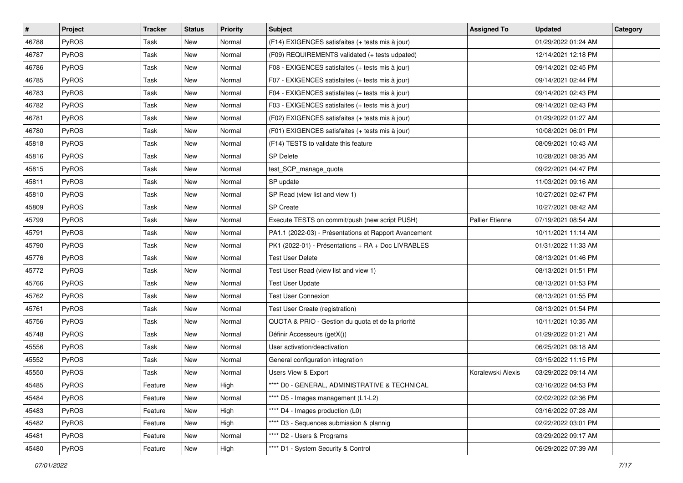| #     | <b>Project</b> | <b>Tracker</b> | <b>Status</b> | <b>Priority</b> | <b>Subject</b>                                        | <b>Assigned To</b>     | <b>Updated</b>      | Category |
|-------|----------------|----------------|---------------|-----------------|-------------------------------------------------------|------------------------|---------------------|----------|
| 46788 | PyROS          | Task           | New           | Normal          | (F14) EXIGENCES satisfaites (+ tests mis à jour)      |                        | 01/29/2022 01:24 AM |          |
| 46787 | PyROS          | Task           | New           | Normal          | (F09) REQUIREMENTS validated (+ tests udpated)        |                        | 12/14/2021 12:18 PM |          |
| 46786 | <b>PyROS</b>   | Task           | New           | Normal          | F08 - EXIGENCES satisfaites (+ tests mis à jour)      |                        | 09/14/2021 02:45 PM |          |
| 46785 | PyROS          | Task           | New           | Normal          | F07 - EXIGENCES satisfaites (+ tests mis à jour)      |                        | 09/14/2021 02:44 PM |          |
| 46783 | PyROS          | Task           | New           | Normal          | F04 - EXIGENCES satisfaites (+ tests mis à jour)      |                        | 09/14/2021 02:43 PM |          |
| 46782 | PyROS          | Task           | New           | Normal          | F03 - EXIGENCES satisfaites (+ tests mis à jour)      |                        | 09/14/2021 02:43 PM |          |
| 46781 | PyROS          | Task           | New           | Normal          | (F02) EXIGENCES satisfaites (+ tests mis à jour)      |                        | 01/29/2022 01:27 AM |          |
| 46780 | PyROS          | Task           | New           | Normal          | (F01) EXIGENCES satisfaites (+ tests mis à jour)      |                        | 10/08/2021 06:01 PM |          |
| 45818 | PyROS          | Task           | New           | Normal          | (F14) TESTS to validate this feature                  |                        | 08/09/2021 10:43 AM |          |
| 45816 | PyROS          | Task           | New           | Normal          | <b>SP Delete</b>                                      |                        | 10/28/2021 08:35 AM |          |
| 45815 | <b>PyROS</b>   | Task           | New           | Normal          | test_SCP_manage_quota                                 |                        | 09/22/2021 04:47 PM |          |
| 45811 | PyROS          | Task           | New           | Normal          | SP update                                             |                        | 11/03/2021 09:16 AM |          |
| 45810 | PyROS          | Task           | New           | Normal          | SP Read (view list and view 1)                        |                        | 10/27/2021 02:47 PM |          |
| 45809 | PyROS          | Task           | New           | Normal          | SP Create                                             |                        | 10/27/2021 08:42 AM |          |
| 45799 | PyROS          | <b>Task</b>    | New           | Normal          | Execute TESTS on commit/push (new script PUSH)        | <b>Pallier Etienne</b> | 07/19/2021 08:54 AM |          |
| 45791 | PyROS          | Task           | New           | Normal          | PA1.1 (2022-03) - Présentations et Rapport Avancement |                        | 10/11/2021 11:14 AM |          |
| 45790 | PyROS          | <b>Task</b>    | New           | Normal          | PK1 (2022-01) - Présentations + RA + Doc LIVRABLES    |                        | 01/31/2022 11:33 AM |          |
| 45776 | PyROS          | Task           | New           | Normal          | <b>Test User Delete</b>                               |                        | 08/13/2021 01:46 PM |          |
| 45772 | PyROS          | Task           | New           | Normal          | Test User Read (view list and view 1)                 |                        | 08/13/2021 01:51 PM |          |
| 45766 | PyROS          | Task           | <b>New</b>    | Normal          | <b>Test User Update</b>                               |                        | 08/13/2021 01:53 PM |          |
| 45762 | PyROS          | Task           | New           | Normal          | <b>Test User Connexion</b>                            |                        | 08/13/2021 01:55 PM |          |
| 45761 | PyROS          | Task           | New           | Normal          | Test User Create (registration)                       |                        | 08/13/2021 01:54 PM |          |
| 45756 | PyROS          | Task           | New           | Normal          | QUOTA & PRIO - Gestion du quota et de la priorité     |                        | 10/11/2021 10:35 AM |          |
| 45748 | PyROS          | Task           | New           | Normal          | Définir Accesseurs (getX())                           |                        | 01/29/2022 01:21 AM |          |
| 45556 | PyROS          | Task           | New           | Normal          | User activation/deactivation                          |                        | 06/25/2021 08:18 AM |          |
| 45552 | <b>PyROS</b>   | Task           | New           | Normal          | General configuration integration                     |                        | 03/15/2022 11:15 PM |          |
| 45550 | PyROS          | Task           | New           | Normal          | Users View & Export                                   | Koralewski Alexis      | 03/29/2022 09:14 AM |          |
| 45485 | PyROS          | Feature        | New           | High            | **** D0 - GENERAL, ADMINISTRATIVE & TECHNICAL         |                        | 03/16/2022 04:53 PM |          |
| 45484 | <b>PyROS</b>   | Feature        | New           | Normal          | **** D5 - Images management (L1-L2)                   |                        | 02/02/2022 02:36 PM |          |
| 45483 | PyROS          | Feature        | New           | High            | **** D4 - Images production (L0)                      |                        | 03/16/2022 07:28 AM |          |
| 45482 | PyROS          | Feature        | New           | High            | **** D3 - Sequences submission & plannig              |                        | 02/22/2022 03:01 PM |          |
| 45481 | PyROS          | Feature        | New           | Normal          | **** D2 - Users & Programs                            |                        | 03/29/2022 09:17 AM |          |
| 45480 | PyROS          | Feature        | New           | High            | **** D1 - System Security & Control                   |                        | 06/29/2022 07:39 AM |          |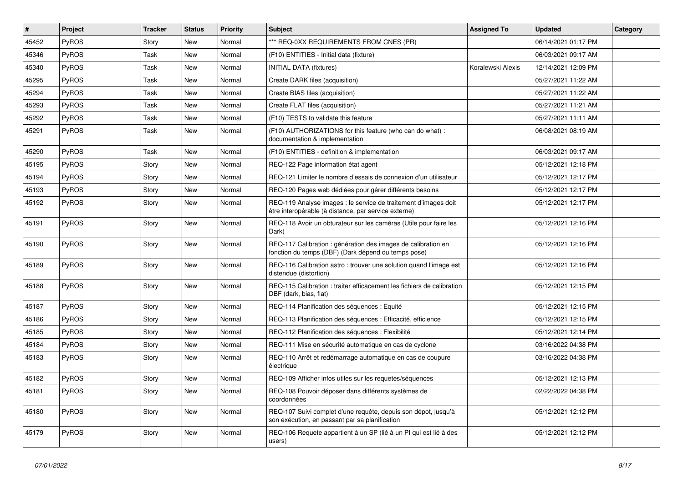| $\vert$ # | Project      | <b>Tracker</b> | <b>Status</b> | <b>Priority</b> | <b>Subject</b>                                                                                                          | <b>Assigned To</b> | <b>Updated</b>      | Category |
|-----------|--------------|----------------|---------------|-----------------|-------------------------------------------------------------------------------------------------------------------------|--------------------|---------------------|----------|
| 45452     | PyROS        | Story          | New           | Normal          | *** REQ-0XX REQUIREMENTS FROM CNES (PR)                                                                                 |                    | 06/14/2021 01:17 PM |          |
| 45346     | PyROS        | Task           | New           | Normal          | (F10) ENTITIES - Initial data (fixture)                                                                                 |                    | 06/03/2021 09:17 AM |          |
| 45340     | <b>PyROS</b> | Task           | New           | Normal          | <b>INITIAL DATA (fixtures)</b>                                                                                          | Koralewski Alexis  | 12/14/2021 12:09 PM |          |
| 45295     | <b>PyROS</b> | Task           | <b>New</b>    | Normal          | Create DARK files (acquisition)                                                                                         |                    | 05/27/2021 11:22 AM |          |
| 45294     | PyROS        | Task           | New           | Normal          | Create BIAS files (acquisition)                                                                                         |                    | 05/27/2021 11:22 AM |          |
| 45293     | PyROS        | Task           | <b>New</b>    | Normal          | Create FLAT files (acquisition)                                                                                         |                    | 05/27/2021 11:21 AM |          |
| 45292     | PyROS        | Task           | New           | Normal          | (F10) TESTS to validate this feature                                                                                    |                    | 05/27/2021 11:11 AM |          |
| 45291     | <b>PyROS</b> | Task           | <b>New</b>    | Normal          | (F10) AUTHORIZATIONS for this feature (who can do what):<br>documentation & implementation                              |                    | 06/08/2021 08:19 AM |          |
| 45290     | PyROS        | Task           | <b>New</b>    | Normal          | (F10) ENTITIES - definition & implementation                                                                            |                    | 06/03/2021 09:17 AM |          |
| 45195     | <b>PyROS</b> | Story          | <b>New</b>    | Normal          | REQ-122 Page information état agent                                                                                     |                    | 05/12/2021 12:18 PM |          |
| 45194     | PyROS        | Story          | <b>New</b>    | Normal          | REQ-121 Limiter le nombre d'essais de connexion d'un utilisateur                                                        |                    | 05/12/2021 12:17 PM |          |
| 45193     | PyROS        | Story          | <b>New</b>    | Normal          | REQ-120 Pages web dédiées pour gérer différents besoins                                                                 |                    | 05/12/2021 12:17 PM |          |
| 45192     | <b>PyROS</b> | Story          | New           | Normal          | REQ-119 Analyse images : le service de traitement d'images doit<br>être interopérable (à distance, par service externe) |                    | 05/12/2021 12:17 PM |          |
| 45191     | <b>PyROS</b> | Story          | New           | Normal          | REQ-118 Avoir un obturateur sur les caméras (Utile pour faire les<br>Dark)                                              |                    | 05/12/2021 12:16 PM |          |
| 45190     | PyROS        | Story          | New           | Normal          | REQ-117 Calibration : génération des images de calibration en<br>fonction du temps (DBF) (Dark dépend du temps pose)    |                    | 05/12/2021 12:16 PM |          |
| 45189     | PyROS        | Story          | <b>New</b>    | Normal          | REQ-116 Calibration astro: trouver une solution quand l'image est<br>distendue (distortion)                             |                    | 05/12/2021 12:16 PM |          |
| 45188     | <b>PyROS</b> | Story          | New           | Normal          | REQ-115 Calibration: traiter efficacement les fichiers de calibration<br>DBF (dark, bias, flat)                         |                    | 05/12/2021 12:15 PM |          |
| 45187     | PyROS        | Story          | <b>New</b>    | Normal          | REQ-114 Planification des séquences : Equité                                                                            |                    | 05/12/2021 12:15 PM |          |
| 45186     | PyROS        | Story          | <b>New</b>    | Normal          | REQ-113 Planification des séquences : Efficacité, efficience                                                            |                    | 05/12/2021 12:15 PM |          |
| 45185     | PyROS        | Story          | <b>New</b>    | Normal          | REQ-112 Planification des séquences : Flexibilité                                                                       |                    | 05/12/2021 12:14 PM |          |
| 45184     | PyROS        | Story          | <b>New</b>    | Normal          | REQ-111 Mise en sécurité automatique en cas de cyclone                                                                  |                    | 03/16/2022 04:38 PM |          |
| 45183     | <b>PyROS</b> | Story          | <b>New</b>    | Normal          | REQ-110 Arrêt et redémarrage automatique en cas de coupure<br>électrique                                                |                    | 03/16/2022 04:38 PM |          |
| 45182     | PyROS        | Story          | <b>New</b>    | Normal          | REQ-109 Afficher infos utiles sur les requetes/séquences                                                                |                    | 05/12/2021 12:13 PM |          |
| 45181     | <b>PyROS</b> | Story          | New           | Normal          | REQ-108 Pouvoir déposer dans différents systèmes de<br>coordonnées                                                      |                    | 02/22/2022 04:38 PM |          |
| 45180     | <b>PyROS</b> | Story          | New           | Normal          | REQ-107 Suivi complet d'une requête, depuis son dépot, jusqu'à<br>son exécution, en passant par sa planification        |                    | 05/12/2021 12:12 PM |          |
| 45179     | <b>PyROS</b> | Story          | <b>New</b>    | Normal          | REQ-106 Requete appartient à un SP (lié à un PI qui est lié à des<br>users)                                             |                    | 05/12/2021 12:12 PM |          |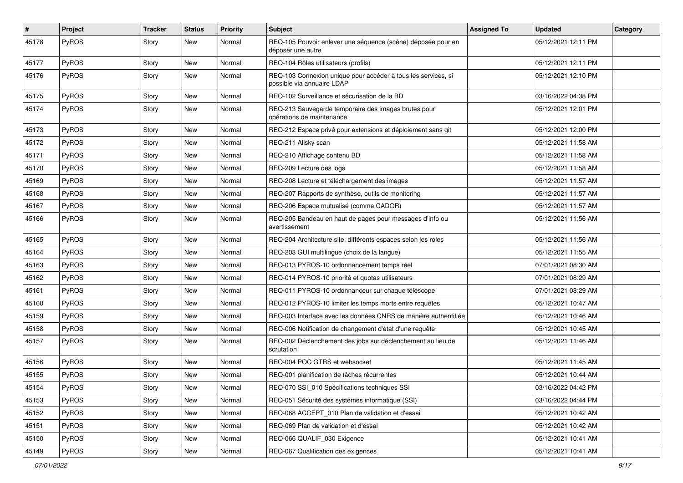| #     | Project      | <b>Tracker</b> | <b>Status</b> | <b>Priority</b> | <b>Subject</b>                                                                              | <b>Assigned To</b> | <b>Updated</b>      | Category |
|-------|--------------|----------------|---------------|-----------------|---------------------------------------------------------------------------------------------|--------------------|---------------------|----------|
| 45178 | PyROS        | Story          | New           | Normal          | REQ-105 Pouvoir enlever une séquence (scène) déposée pour en<br>déposer une autre           |                    | 05/12/2021 12:11 PM |          |
| 45177 | <b>PyROS</b> | Story          | New           | Normal          | REQ-104 Rôles utilisateurs (profils)                                                        |                    | 05/12/2021 12:11 PM |          |
| 45176 | PyROS        | Story          | New           | Normal          | REQ-103 Connexion unique pour accéder à tous les services, si<br>possible via annuaire LDAP |                    | 05/12/2021 12:10 PM |          |
| 45175 | PyROS        | Story          | <b>New</b>    | Normal          | REQ-102 Surveillance et sécurisation de la BD                                               |                    | 03/16/2022 04:38 PM |          |
| 45174 | PyROS        | Story          | New           | Normal          | REQ-213 Sauvegarde temporaire des images brutes pour<br>opérations de maintenance           |                    | 05/12/2021 12:01 PM |          |
| 45173 | <b>PyROS</b> | Story          | New           | Normal          | REQ-212 Espace privé pour extensions et déploiement sans git                                |                    | 05/12/2021 12:00 PM |          |
| 45172 | PyROS        | Story          | New           | Normal          | REQ-211 Allsky scan                                                                         |                    | 05/12/2021 11:58 AM |          |
| 45171 | <b>PyROS</b> | Story          | New           | Normal          | REQ-210 Affichage contenu BD                                                                |                    | 05/12/2021 11:58 AM |          |
| 45170 | PyROS        | Story          | New           | Normal          | REQ-209 Lecture des logs                                                                    |                    | 05/12/2021 11:58 AM |          |
| 45169 | PyROS        | Story          | New           | Normal          | REQ-208 Lecture et téléchargement des images                                                |                    | 05/12/2021 11:57 AM |          |
| 45168 | PyROS        | Story          | New           | Normal          | REQ-207 Rapports de synthèse, outils de monitoring                                          |                    | 05/12/2021 11:57 AM |          |
| 45167 | PyROS        | Story          | New           | Normal          | REQ-206 Espace mutualisé (comme CADOR)                                                      |                    | 05/12/2021 11:57 AM |          |
| 45166 | PyROS        | Story          | New           | Normal          | REQ-205 Bandeau en haut de pages pour messages d'info ou<br>avertissement                   |                    | 05/12/2021 11:56 AM |          |
| 45165 | PyROS        | Story          | New           | Normal          | REQ-204 Architecture site, différents espaces selon les roles                               |                    | 05/12/2021 11:56 AM |          |
| 45164 | PyROS        | Story          | New           | Normal          | REQ-203 GUI multilingue (choix de la langue)                                                |                    | 05/12/2021 11:55 AM |          |
| 45163 | PyROS        | Story          | New           | Normal          | REQ-013 PYROS-10 ordonnancement temps réel                                                  |                    | 07/01/2021 08:30 AM |          |
| 45162 | <b>PyROS</b> | Story          | New           | Normal          | REQ-014 PYROS-10 priorité et quotas utilisateurs                                            |                    | 07/01/2021 08:29 AM |          |
| 45161 | <b>PyROS</b> | Story          | New           | Normal          | REQ-011 PYROS-10 ordonnanceur sur chaque télescope                                          |                    | 07/01/2021 08:29 AM |          |
| 45160 | PyROS        | Story          | New           | Normal          | REQ-012 PYROS-10 limiter les temps morts entre requêtes                                     |                    | 05/12/2021 10:47 AM |          |
| 45159 | PyROS        | Story          | New           | Normal          | REQ-003 Interface avec les données CNRS de manière authentifiée                             |                    | 05/12/2021 10:46 AM |          |
| 45158 | PyROS        | Story          | New           | Normal          | REQ-006 Notification de changement d'état d'une requête                                     |                    | 05/12/2021 10:45 AM |          |
| 45157 | PyROS        | Story          | New           | Normal          | REQ-002 Déclenchement des jobs sur déclenchement au lieu de<br>scrutation                   |                    | 05/12/2021 11:46 AM |          |
| 45156 | PyROS        | Story          | New           | Normal          | REQ-004 POC GTRS et websocket                                                               |                    | 05/12/2021 11:45 AM |          |
| 45155 | PyROS        | Story          | New           | Normal          | REQ-001 planification de tâches récurrentes                                                 |                    | 05/12/2021 10:44 AM |          |
| 45154 | PyROS        | Story          | New           | Normal          | REQ-070 SSI_010 Spécifications techniques SSI                                               |                    | 03/16/2022 04:42 PM |          |
| 45153 | PyROS        | Story          | New           | Normal          | REQ-051 Sécurité des systèmes informatique (SSI)                                            |                    | 03/16/2022 04:44 PM |          |
| 45152 | PyROS        | Story          | New           | Normal          | REQ-068 ACCEPT_010 Plan de validation et d'essai                                            |                    | 05/12/2021 10:42 AM |          |
| 45151 | PyROS        | Story          | New           | Normal          | REQ-069 Plan de validation et d'essai                                                       |                    | 05/12/2021 10:42 AM |          |
| 45150 | PyROS        | Story          | New           | Normal          | REQ-066 QUALIF_030 Exigence                                                                 |                    | 05/12/2021 10:41 AM |          |
| 45149 | PyROS        | Story          | New           | Normal          | REQ-067 Qualification des exigences                                                         |                    | 05/12/2021 10:41 AM |          |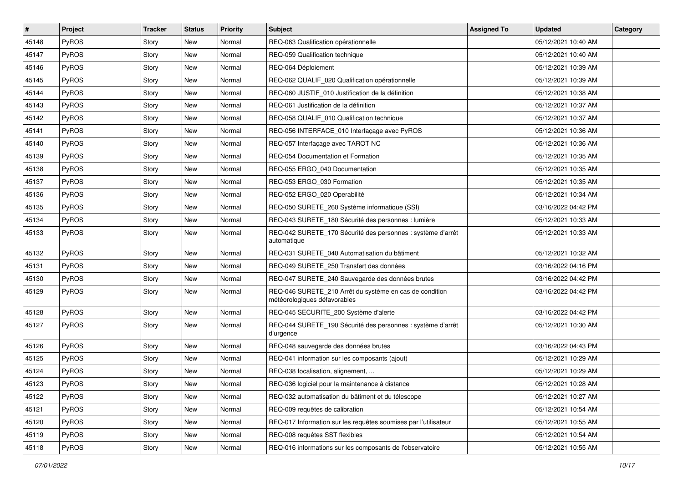| $\sharp$ | <b>Project</b> | <b>Tracker</b> | <b>Status</b> | <b>Priority</b> | <b>Subject</b>                                                                          | <b>Assigned To</b> | <b>Updated</b>      | Category |
|----------|----------------|----------------|---------------|-----------------|-----------------------------------------------------------------------------------------|--------------------|---------------------|----------|
| 45148    | PyROS          | Story          | New           | Normal          | REQ-063 Qualification opérationnelle                                                    |                    | 05/12/2021 10:40 AM |          |
| 45147    | PyROS          | Story          | New           | Normal          | REQ-059 Qualification technique                                                         |                    | 05/12/2021 10:40 AM |          |
| 45146    | PyROS          | Story          | New           | Normal          | REQ-064 Déploiement                                                                     |                    | 05/12/2021 10:39 AM |          |
| 45145    | PyROS          | Story          | New           | Normal          | REQ-062 QUALIF_020 Qualification opérationnelle                                         |                    | 05/12/2021 10:39 AM |          |
| 45144    | <b>PyROS</b>   | Story          | New           | Normal          | REQ-060 JUSTIF_010 Justification de la définition                                       |                    | 05/12/2021 10:38 AM |          |
| 45143    | PyROS          | Story          | <b>New</b>    | Normal          | REQ-061 Justification de la définition                                                  |                    | 05/12/2021 10:37 AM |          |
| 45142    | PyROS          | Story          | New           | Normal          | REQ-058 QUALIF 010 Qualification technique                                              |                    | 05/12/2021 10:37 AM |          |
| 45141    | PyROS          | Story          | New           | Normal          | REQ-056 INTERFACE 010 Interfaçage avec PyROS                                            |                    | 05/12/2021 10:36 AM |          |
| 45140    | PyROS          | Story          | New           | Normal          | REQ-057 Interfaçage avec TAROT NC                                                       |                    | 05/12/2021 10:36 AM |          |
| 45139    | PyROS          | Story          | <b>New</b>    | Normal          | REQ-054 Documentation et Formation                                                      |                    | 05/12/2021 10:35 AM |          |
| 45138    | PyROS          | Story          | New           | Normal          | REQ-055 ERGO 040 Documentation                                                          |                    | 05/12/2021 10:35 AM |          |
| 45137    | PyROS          | Story          | New           | Normal          | REQ-053 ERGO_030 Formation                                                              |                    | 05/12/2021 10:35 AM |          |
| 45136    | PyROS          | Story          | New           | Normal          | REQ-052 ERGO_020 Operabilité                                                            |                    | 05/12/2021 10:34 AM |          |
| 45135    | PyROS          | Story          | <b>New</b>    | Normal          | REQ-050 SURETE_260 Système informatique (SSI)                                           |                    | 03/16/2022 04:42 PM |          |
| 45134    | PyROS          | Story          | <b>New</b>    | Normal          | REQ-043 SURETE_180 Sécurité des personnes : lumière                                     |                    | 05/12/2021 10:33 AM |          |
| 45133    | <b>PyROS</b>   | Story          | New           | Normal          | REQ-042 SURETE_170 Sécurité des personnes : système d'arrêt<br>automatique              |                    | 05/12/2021 10:33 AM |          |
| 45132    | PyROS          | Story          | <b>New</b>    | Normal          | REQ-031 SURETE 040 Automatisation du bâtiment                                           |                    | 05/12/2021 10:32 AM |          |
| 45131    | PyROS          | Story          | <b>New</b>    | Normal          | REQ-049 SURETE 250 Transfert des données                                                |                    | 03/16/2022 04:16 PM |          |
| 45130    | PyROS          | Story          | New           | Normal          | REQ-047 SURETE_240 Sauvegarde des données brutes                                        |                    | 03/16/2022 04:42 PM |          |
| 45129    | PyROS          | Story          | New           | Normal          | REQ-046 SURETE_210 Arrêt du système en cas de condition<br>météorologiques défavorables |                    | 03/16/2022 04:42 PM |          |
| 45128    | PyROS          | Story          | New           | Normal          | REQ-045 SECURITE_200 Système d'alerte                                                   |                    | 03/16/2022 04:42 PM |          |
| 45127    | PyROS          | Story          | New           | Normal          | REQ-044 SURETE_190 Sécurité des personnes : système d'arrêt<br>d'urgence                |                    | 05/12/2021 10:30 AM |          |
| 45126    | PyROS          | Story          | New           | Normal          | REQ-048 sauvegarde des données brutes                                                   |                    | 03/16/2022 04:43 PM |          |
| 45125    | PyROS          | Story          | New           | Normal          | REQ-041 information sur les composants (ajout)                                          |                    | 05/12/2021 10:29 AM |          |
| 45124    | PyROS          | Story          | New           | Normal          | REQ-038 focalisation, alignement,                                                       |                    | 05/12/2021 10:29 AM |          |
| 45123    | PyROS          | Story          | New           | Normal          | REQ-036 logiciel pour la maintenance à distance                                         |                    | 05/12/2021 10:28 AM |          |
| 45122    | PyROS          | Story          | New           | Normal          | REQ-032 automatisation du bâtiment et du télescope                                      |                    | 05/12/2021 10:27 AM |          |
| 45121    | PyROS          | Story          | New           | Normal          | REQ-009 requêtes de calibration                                                         |                    | 05/12/2021 10:54 AM |          |
| 45120    | PyROS          | Story          | New           | Normal          | REQ-017 Information sur les requêtes soumises par l'utilisateur                         |                    | 05/12/2021 10:55 AM |          |
| 45119    | PyROS          | Story          | New           | Normal          | REQ-008 requêtes SST flexibles                                                          |                    | 05/12/2021 10:54 AM |          |
| 45118    | PyROS          | Story          | New           | Normal          | REQ-016 informations sur les composants de l'observatoire                               |                    | 05/12/2021 10:55 AM |          |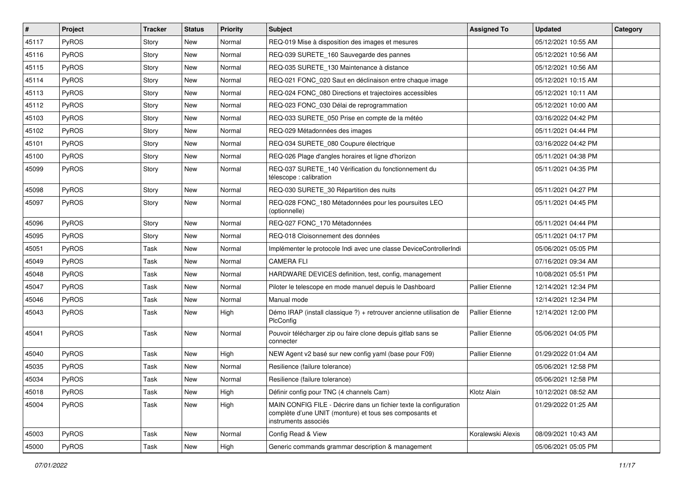| $\vert$ # | <b>Project</b> | <b>Tracker</b> | <b>Status</b> | <b>Priority</b> | <b>Subject</b>                                                                                                                                       | <b>Assigned To</b>     | <b>Updated</b>      | Category |
|-----------|----------------|----------------|---------------|-----------------|------------------------------------------------------------------------------------------------------------------------------------------------------|------------------------|---------------------|----------|
| 45117     | PyROS          | Story          | New           | Normal          | REQ-019 Mise à disposition des images et mesures                                                                                                     |                        | 05/12/2021 10:55 AM |          |
| 45116     | PyROS          | Story          | New           | Normal          | REQ-039 SURETE_160 Sauvegarde des pannes                                                                                                             |                        | 05/12/2021 10:56 AM |          |
| 45115     | <b>PyROS</b>   | Story          | New           | Normal          | REQ-035 SURETE_130 Maintenance à distance                                                                                                            |                        | 05/12/2021 10:56 AM |          |
| 45114     | PyROS          | Story          | New           | Normal          | REQ-021 FONC 020 Saut en déclinaison entre chaque image                                                                                              |                        | 05/12/2021 10:15 AM |          |
| 45113     | PyROS          | Story          | New           | Normal          | REQ-024 FONC_080 Directions et trajectoires accessibles                                                                                              |                        | 05/12/2021 10:11 AM |          |
| 45112     | PyROS          | Story          | New           | Normal          | REQ-023 FONC 030 Délai de reprogrammation                                                                                                            |                        | 05/12/2021 10:00 AM |          |
| 45103     | PyROS          | Story          | <b>New</b>    | Normal          | REQ-033 SURETE 050 Prise en compte de la météo                                                                                                       |                        | 03/16/2022 04:42 PM |          |
| 45102     | PyROS          | Story          | New           | Normal          | REQ-029 Métadonnées des images                                                                                                                       |                        | 05/11/2021 04:44 PM |          |
| 45101     | PyROS          | Story          | New           | Normal          | REQ-034 SURETE 080 Coupure électrique                                                                                                                |                        | 03/16/2022 04:42 PM |          |
| 45100     | PyROS          | Story          | New           | Normal          | REQ-026 Plage d'angles horaires et ligne d'horizon                                                                                                   |                        | 05/11/2021 04:38 PM |          |
| 45099     | <b>PyROS</b>   | Story          | New           | Normal          | REQ-037 SURETE_140 Vérification du fonctionnement du<br>télescope : calibration                                                                      |                        | 05/11/2021 04:35 PM |          |
| 45098     | PyROS          | Story          | New           | Normal          | REQ-030 SURETE_30 Répartition des nuits                                                                                                              |                        | 05/11/2021 04:27 PM |          |
| 45097     | PyROS          | Story          | New           | Normal          | REQ-028 FONC_180 Métadonnées pour les poursuites LEO<br>(optionnelle)                                                                                |                        | 05/11/2021 04:45 PM |          |
| 45096     | PyROS          | Story          | New           | Normal          | REQ-027 FONC 170 Métadonnées                                                                                                                         |                        | 05/11/2021 04:44 PM |          |
| 45095     | PyROS          | Story          | New           | Normal          | REQ-018 Cloisonnement des données                                                                                                                    |                        | 05/11/2021 04:17 PM |          |
| 45051     | PyROS          | Task           | New           | Normal          | Implémenter le protocole Indi avec une classe DeviceControllerIndi                                                                                   |                        | 05/06/2021 05:05 PM |          |
| 45049     | PyROS          | Task           | New           | Normal          | <b>CAMERA FLI</b>                                                                                                                                    |                        | 07/16/2021 09:34 AM |          |
| 45048     | PyROS          | Task           | New           | Normal          | HARDWARE DEVICES definition, test, config, management                                                                                                |                        | 10/08/2021 05:51 PM |          |
| 45047     | PyROS          | Task           | New           | Normal          | Piloter le telescope en mode manuel depuis le Dashboard                                                                                              | Pallier Etienne        | 12/14/2021 12:34 PM |          |
| 45046     | PyROS          | Task           | New           | Normal          | Manual mode                                                                                                                                          |                        | 12/14/2021 12:34 PM |          |
| 45043     | PyROS          | Task           | New           | High            | Démo IRAP (install classique ?) + retrouver ancienne utilisation de<br>PlcConfig                                                                     | <b>Pallier Etienne</b> | 12/14/2021 12:00 PM |          |
| 45041     | PyROS          | Task           | New           | Normal          | Pouvoir télécharger zip ou faire clone depuis gitlab sans se<br>connecter                                                                            | <b>Pallier Etienne</b> | 05/06/2021 04:05 PM |          |
| 45040     | PyROS          | Task           | New           | High            | NEW Agent v2 basé sur new config yaml (base pour F09)                                                                                                | <b>Pallier Etienne</b> | 01/29/2022 01:04 AM |          |
| 45035     | PyROS          | Task           | New           | Normal          | Resilience (failure tolerance)                                                                                                                       |                        | 05/06/2021 12:58 PM |          |
| 45034     | PyROS          | Task           | New           | Normal          | Resilience (failure tolerance)                                                                                                                       |                        | 05/06/2021 12:58 PM |          |
| 45018     | PyROS          | Task           | New           | High            | Définir config pour TNC (4 channels Cam)                                                                                                             | Klotz Alain            | 10/12/2021 08:52 AM |          |
| 45004     | PyROS          | Task           | New           | High            | MAIN CONFIG FILE - Décrire dans un fichier texte la configuration<br>complète d'une UNIT (monture) et tous ses composants et<br>instruments associés |                        | 01/29/2022 01:25 AM |          |
| 45003     | PyROS          | Task           | New           | Normal          | Config Read & View                                                                                                                                   | Koralewski Alexis      | 08/09/2021 10:43 AM |          |
| 45000     | PyROS          | Task           | New           | High            | Generic commands grammar description & management                                                                                                    |                        | 05/06/2021 05:05 PM |          |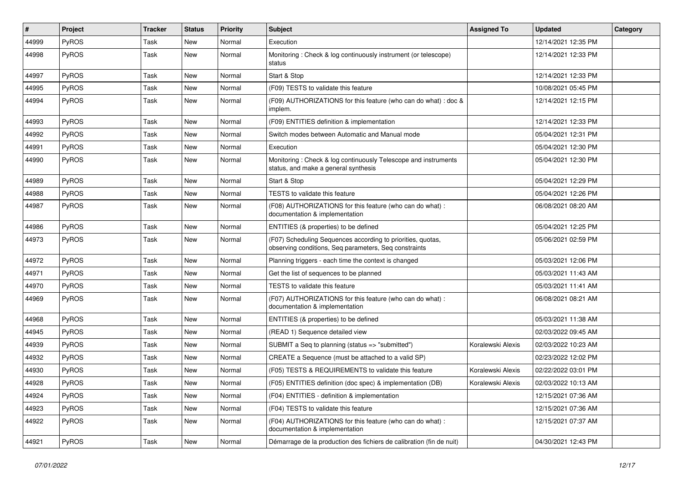| #     | <b>Project</b> | <b>Tracker</b> | <b>Status</b> | <b>Priority</b> | <b>Subject</b>                                                                                                       | <b>Assigned To</b> | <b>Updated</b>      | Category |
|-------|----------------|----------------|---------------|-----------------|----------------------------------------------------------------------------------------------------------------------|--------------------|---------------------|----------|
| 44999 | <b>PyROS</b>   | Task           | New           | Normal          | Execution                                                                                                            |                    | 12/14/2021 12:35 PM |          |
| 44998 | PyROS          | Task           | New           | Normal          | Monitoring: Check & log continuously instrument (or telescope)<br>status                                             |                    | 12/14/2021 12:33 PM |          |
| 44997 | PyROS          | Task           | New           | Normal          | Start & Stop                                                                                                         |                    | 12/14/2021 12:33 PM |          |
| 44995 | PyROS          | Task           | New           | Normal          | (F09) TESTS to validate this feature                                                                                 |                    | 10/08/2021 05:45 PM |          |
| 44994 | PyROS          | Task           | New           | Normal          | (F09) AUTHORIZATIONS for this feature (who can do what) : doc &<br>implem.                                           |                    | 12/14/2021 12:15 PM |          |
| 44993 | PyROS          | Task           | New           | Normal          | (F09) ENTITIES definition & implementation                                                                           |                    | 12/14/2021 12:33 PM |          |
| 44992 | PyROS          | Task           | New           | Normal          | Switch modes between Automatic and Manual mode                                                                       |                    | 05/04/2021 12:31 PM |          |
| 44991 | PyROS          | Task           | <b>New</b>    | Normal          | Execution                                                                                                            |                    | 05/04/2021 12:30 PM |          |
| 44990 | PyROS          | Task           | New           | Normal          | Monitoring: Check & log continuously Telescope and instruments<br>status, and make a general synthesis               |                    | 05/04/2021 12:30 PM |          |
| 44989 | PyROS          | Task           | New           | Normal          | Start & Stop                                                                                                         |                    | 05/04/2021 12:29 PM |          |
| 44988 | PyROS          | Task           | New           | Normal          | TESTS to validate this feature                                                                                       |                    | 05/04/2021 12:26 PM |          |
| 44987 | <b>PyROS</b>   | Task           | New           | Normal          | (F08) AUTHORIZATIONS for this feature (who can do what) :<br>documentation & implementation                          |                    | 06/08/2021 08:20 AM |          |
| 44986 | PyROS          | Task           | New           | Normal          | ENTITIES (& properties) to be defined                                                                                |                    | 05/04/2021 12:25 PM |          |
| 44973 | PyROS          | Task           | New           | Normal          | (F07) Scheduling Sequences according to priorities, quotas,<br>observing conditions, Seq parameters, Seq constraints |                    | 05/06/2021 02:59 PM |          |
| 44972 | PyROS          | Task           | New           | Normal          | Planning triggers - each time the context is changed                                                                 |                    | 05/03/2021 12:06 PM |          |
| 44971 | PyROS          | Task           | <b>New</b>    | Normal          | Get the list of sequences to be planned                                                                              |                    | 05/03/2021 11:43 AM |          |
| 44970 | PyROS          | Task           | New           | Normal          | TESTS to validate this feature                                                                                       |                    | 05/03/2021 11:41 AM |          |
| 44969 | <b>PyROS</b>   | Task           | New           | Normal          | (F07) AUTHORIZATIONS for this feature (who can do what) :<br>documentation & implementation                          |                    | 06/08/2021 08:21 AM |          |
| 44968 | <b>PyROS</b>   | Task           | New           | Normal          | ENTITIES (& properties) to be defined                                                                                |                    | 05/03/2021 11:38 AM |          |
| 44945 | PyROS          | Task           | <b>New</b>    | Normal          | (READ 1) Sequence detailed view                                                                                      |                    | 02/03/2022 09:45 AM |          |
| 44939 | PyROS          | Task           | New           | Normal          | SUBMIT a Seq to planning (status => "submitted")                                                                     | Koralewski Alexis  | 02/03/2022 10:23 AM |          |
| 44932 | PyROS          | Task           | New           | Normal          | CREATE a Sequence (must be attached to a valid SP)                                                                   |                    | 02/23/2022 12:02 PM |          |
| 44930 | PyROS          | Task           | New           | Normal          | (F05) TESTS & REQUIREMENTS to validate this feature                                                                  | Koralewski Alexis  | 02/22/2022 03:01 PM |          |
| 44928 | PyROS          | Task           | New           | Normal          | (F05) ENTITIES definition (doc spec) & implementation (DB)                                                           | Koralewski Alexis  | 02/03/2022 10:13 AM |          |
| 44924 | PyROS          | Task           | New           | Normal          | (F04) ENTITIES - definition & implementation                                                                         |                    | 12/15/2021 07:36 AM |          |
| 44923 | PyROS          | Task           | New           | Normal          | (F04) TESTS to validate this feature                                                                                 |                    | 12/15/2021 07:36 AM |          |
| 44922 | PyROS          | Task           | New           | Normal          | (F04) AUTHORIZATIONS for this feature (who can do what) :<br>documentation & implementation                          |                    | 12/15/2021 07:37 AM |          |
| 44921 | PyROS          | Task           | New           | Normal          | Démarrage de la production des fichiers de calibration (fin de nuit)                                                 |                    | 04/30/2021 12:43 PM |          |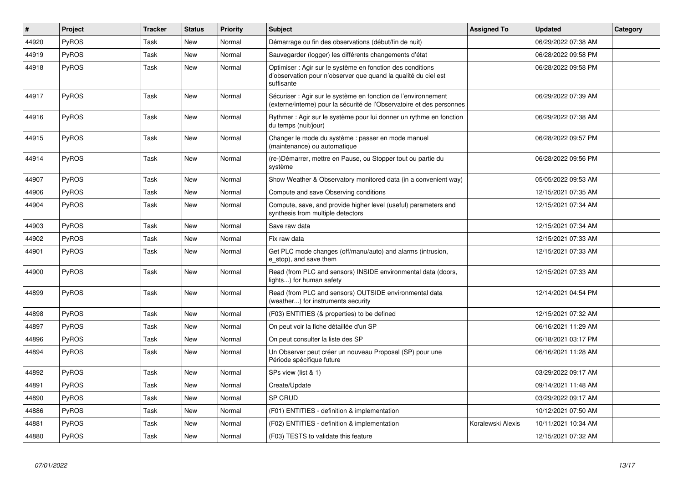| $\vert$ # | Project      | <b>Tracker</b> | <b>Status</b> | Priority | <b>Subject</b>                                                                                                                             | <b>Assigned To</b> | <b>Updated</b>      | Category |
|-----------|--------------|----------------|---------------|----------|--------------------------------------------------------------------------------------------------------------------------------------------|--------------------|---------------------|----------|
| 44920     | <b>PyROS</b> | Task           | New           | Normal   | Démarrage ou fin des observations (début/fin de nuit)                                                                                      |                    | 06/29/2022 07:38 AM |          |
| 44919     | PyROS        | Task           | New           | Normal   | Sauvegarder (logger) les différents changements d'état                                                                                     |                    | 06/28/2022 09:58 PM |          |
| 44918     | <b>PyROS</b> | Task           | New           | Normal   | Optimiser : Agir sur le système en fonction des conditions<br>d'observation pour n'observer que quand la qualité du ciel est<br>suffisante |                    | 06/28/2022 09:58 PM |          |
| 44917     | <b>PyROS</b> | Task           | <b>New</b>    | Normal   | Sécuriser : Agir sur le système en fonction de l'environnement<br>(externe/interne) pour la sécurité de l'Observatoire et des personnes    |                    | 06/29/2022 07:39 AM |          |
| 44916     | PyROS        | Task           | <b>New</b>    | Normal   | Rythmer : Agir sur le système pour lui donner un rythme en fonction<br>du temps (nuit/jour)                                                |                    | 06/29/2022 07:38 AM |          |
| 44915     | PyROS        | Task           | <b>New</b>    | Normal   | Changer le mode du système : passer en mode manuel<br>(maintenance) ou automatique                                                         |                    | 06/28/2022 09:57 PM |          |
| 44914     | <b>PyROS</b> | Task           | New           | Normal   | (re-)Démarrer, mettre en Pause, ou Stopper tout ou partie du<br>système                                                                    |                    | 06/28/2022 09:56 PM |          |
| 44907     | <b>PyROS</b> | Task           | <b>New</b>    | Normal   | Show Weather & Observatory monitored data (in a convenient way)                                                                            |                    | 05/05/2022 09:53 AM |          |
| 44906     | <b>PyROS</b> | Task           | New           | Normal   | Compute and save Observing conditions                                                                                                      |                    | 12/15/2021 07:35 AM |          |
| 44904     | PyROS        | Task           | New           | Normal   | Compute, save, and provide higher level (useful) parameters and<br>synthesis from multiple detectors                                       |                    | 12/15/2021 07:34 AM |          |
| 44903     | <b>PyROS</b> | Task           | New           | Normal   | Save raw data                                                                                                                              |                    | 12/15/2021 07:34 AM |          |
| 44902     | PyROS        | Task           | <b>New</b>    | Normal   | Fix raw data                                                                                                                               |                    | 12/15/2021 07:33 AM |          |
| 44901     | PyROS        | Task           | <b>New</b>    | Normal   | Get PLC mode changes (off/manu/auto) and alarms (intrusion,<br>e stop), and save them                                                      |                    | 12/15/2021 07:33 AM |          |
| 44900     | PyROS        | Task           | <b>New</b>    | Normal   | Read (from PLC and sensors) INSIDE environmental data (doors,<br>lights) for human safety                                                  |                    | 12/15/2021 07:33 AM |          |
| 44899     | <b>PyROS</b> | Task           | <b>New</b>    | Normal   | Read (from PLC and sensors) OUTSIDE environmental data<br>(weather) for instruments security                                               |                    | 12/14/2021 04:54 PM |          |
| 44898     | PyROS        | Task           | <b>New</b>    | Normal   | (F03) ENTITIES (& properties) to be defined                                                                                                |                    | 12/15/2021 07:32 AM |          |
| 44897     | <b>PyROS</b> | Task           | New           | Normal   | On peut voir la fiche détaillée d'un SP                                                                                                    |                    | 06/16/2021 11:29 AM |          |
| 44896     | <b>PyROS</b> | Task           | New           | Normal   | On peut consulter la liste des SP                                                                                                          |                    | 06/18/2021 03:17 PM |          |
| 44894     | PyROS        | Task           | <b>New</b>    | Normal   | Un Observer peut créer un nouveau Proposal (SP) pour une<br>Période spécifique future                                                      |                    | 06/16/2021 11:28 AM |          |
| 44892     | PyROS        | Task           | New           | Normal   | SPs view (list & 1)                                                                                                                        |                    | 03/29/2022 09:17 AM |          |
| 44891     | PyROS        | Task           | New           | Normal   | Create/Update                                                                                                                              |                    | 09/14/2021 11:48 AM |          |
| 44890     | <b>PyROS</b> | Task           | New           | Normal   | <b>SP CRUD</b>                                                                                                                             |                    | 03/29/2022 09:17 AM |          |
| 44886     | PyROS        | Task           | New           | Normal   | (F01) ENTITIES - definition & implementation                                                                                               |                    | 10/12/2021 07:50 AM |          |
| 44881     | PyROS        | Task           | New           | Normal   | (F02) ENTITIES - definition & implementation                                                                                               | Koralewski Alexis  | 10/11/2021 10:34 AM |          |
| 44880     | <b>PyROS</b> | Task           | New           | Normal   | (F03) TESTS to validate this feature                                                                                                       |                    | 12/15/2021 07:32 AM |          |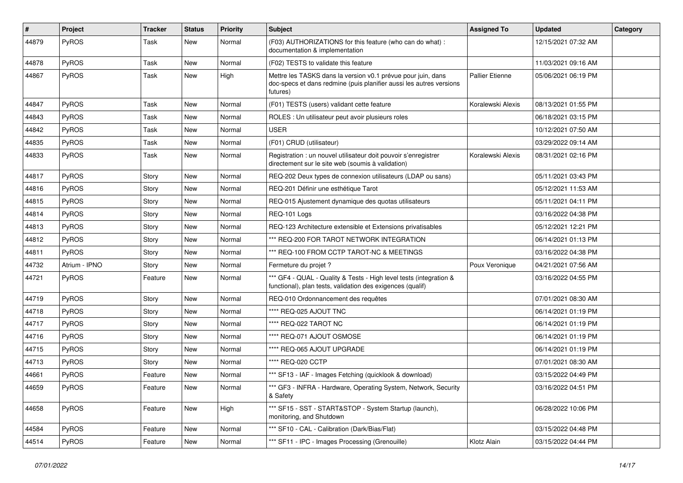| #     | Project       | <b>Tracker</b> | <b>Status</b> | <b>Priority</b> | <b>Subject</b>                                                                                                                                  | <b>Assigned To</b>     | <b>Updated</b>      | Category |
|-------|---------------|----------------|---------------|-----------------|-------------------------------------------------------------------------------------------------------------------------------------------------|------------------------|---------------------|----------|
| 44879 | PyROS         | Task           | New           | Normal          | (F03) AUTHORIZATIONS for this feature (who can do what) :<br>documentation & implementation                                                     |                        | 12/15/2021 07:32 AM |          |
| 44878 | PyROS         | Task           | <b>New</b>    | Normal          | (F02) TESTS to validate this feature                                                                                                            |                        | 11/03/2021 09:16 AM |          |
| 44867 | PyROS         | Task           | New           | High            | Mettre les TASKS dans la version v0.1 prévue pour juin, dans<br>doc-specs et dans redmine (puis planifier aussi les autres versions<br>futures) | <b>Pallier Etienne</b> | 05/06/2021 06:19 PM |          |
| 44847 | PyROS         | Task           | <b>New</b>    | Normal          | (F01) TESTS (users) validant cette feature                                                                                                      | Koralewski Alexis      | 08/13/2021 01:55 PM |          |
| 44843 | PyROS         | Task           | New           | Normal          | ROLES : Un utilisateur peut avoir plusieurs roles                                                                                               |                        | 06/18/2021 03:15 PM |          |
| 44842 | PyROS         | Task           | <b>New</b>    | Normal          | <b>USER</b>                                                                                                                                     |                        | 10/12/2021 07:50 AM |          |
| 44835 | PyROS         | Task           | <b>New</b>    | Normal          | (F01) CRUD (utilisateur)                                                                                                                        |                        | 03/29/2022 09:14 AM |          |
| 44833 | PyROS         | Task           | <b>New</b>    | Normal          | Registration : un nouvel utilisateur doit pouvoir s'enregistrer<br>directement sur le site web (soumis à validation)                            | Koralewski Alexis      | 08/31/2021 02:16 PM |          |
| 44817 | PyROS         | Story          | <b>New</b>    | Normal          | REQ-202 Deux types de connexion utilisateurs (LDAP ou sans)                                                                                     |                        | 05/11/2021 03:43 PM |          |
| 44816 | PyROS         | Story          | New           | Normal          | REQ-201 Définir une esthétique Tarot                                                                                                            |                        | 05/12/2021 11:53 AM |          |
| 44815 | PyROS         | Story          | <b>New</b>    | Normal          | REQ-015 Ajustement dynamique des quotas utilisateurs                                                                                            |                        | 05/11/2021 04:11 PM |          |
| 44814 | PyROS         | Story          | New           | Normal          | REQ-101 Logs                                                                                                                                    |                        | 03/16/2022 04:38 PM |          |
| 44813 | PyROS         | Story          | New           | Normal          | REQ-123 Architecture extensible et Extensions privatisables                                                                                     |                        | 05/12/2021 12:21 PM |          |
| 44812 | PyROS         | Story          | <b>New</b>    | Normal          | *** REQ-200 FOR TAROT NETWORK INTEGRATION                                                                                                       |                        | 06/14/2021 01:13 PM |          |
| 44811 | PyROS         | Story          | <b>New</b>    | Normal          | *** REQ-100 FROM CCTP TAROT-NC & MEETINGS                                                                                                       |                        | 03/16/2022 04:38 PM |          |
| 44732 | Atrium - IPNO | Story          | New           | Normal          | Fermeture du projet ?                                                                                                                           | Poux Veronique         | 04/21/2021 07:56 AM |          |
| 44721 | PyROS         | Feature        | New           | Normal          | *** GF4 - QUAL - Quality & Tests - High level tests (integration &<br>functional), plan tests, validation des exigences (qualif)                |                        | 03/16/2022 04:55 PM |          |
| 44719 | PyROS         | Story          | <b>New</b>    | Normal          | REQ-010 Ordonnancement des requêtes                                                                                                             |                        | 07/01/2021 08:30 AM |          |
| 44718 | <b>PyROS</b>  | Story          | New           | Normal          | **** REQ-025 AJOUT TNC                                                                                                                          |                        | 06/14/2021 01:19 PM |          |
| 44717 | PyROS         | Story          | New           | Normal          | **** REQ-022 TAROT NC                                                                                                                           |                        | 06/14/2021 01:19 PM |          |
| 44716 | PyROS         | Story          | <b>New</b>    | Normal          | **** REQ-071 AJOUT OSMOSE                                                                                                                       |                        | 06/14/2021 01:19 PM |          |
| 44715 | PyROS         | Story          | New           | Normal          | **** REQ-065 AJOUT UPGRADE                                                                                                                      |                        | 06/14/2021 01:19 PM |          |
| 44713 | PyROS         | Story          | New           | Normal          | **** REQ-020 CCTP                                                                                                                               |                        | 07/01/2021 08:30 AM |          |
| 44661 | PyROS         | Feature        | New           | Normal          | *** SF13 - IAF - Images Fetching (quicklook & download)                                                                                         |                        | 03/15/2022 04:49 PM |          |
| 44659 | PyROS         | Feature        | New           | Normal          | *** GF3 - INFRA - Hardware, Operating System, Network, Security<br>& Safety                                                                     |                        | 03/16/2022 04:51 PM |          |
| 44658 | PyROS         | Feature        | New           | High            | *** SF15 - SST - START&STOP - System Startup (launch),<br>monitoring, and Shutdown                                                              |                        | 06/28/2022 10:06 PM |          |
| 44584 | PyROS         | Feature        | New           | Normal          | *** SF10 - CAL - Calibration (Dark/Bias/Flat)                                                                                                   |                        | 03/15/2022 04:48 PM |          |
| 44514 | PyROS         | Feature        | New           | Normal          | *** SF11 - IPC - Images Processing (Grenouille)                                                                                                 | Klotz Alain            | 03/15/2022 04:44 PM |          |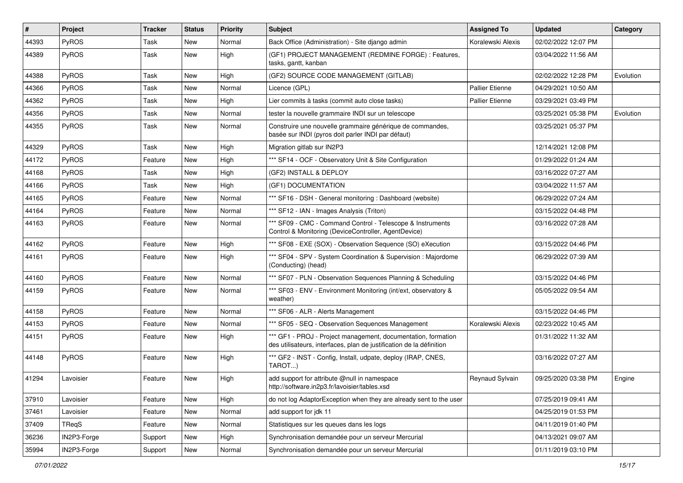| $\vert$ # | Project      | <b>Tracker</b> | <b>Status</b> | <b>Priority</b> | <b>Subject</b>                                                                                                                        | <b>Assigned To</b>     | <b>Updated</b>      | Category  |
|-----------|--------------|----------------|---------------|-----------------|---------------------------------------------------------------------------------------------------------------------------------------|------------------------|---------------------|-----------|
| 44393     | PyROS        | Task           | New           | Normal          | Back Office (Administration) - Site django admin                                                                                      | Koralewski Alexis      | 02/02/2022 12:07 PM |           |
| 44389     | PyROS        | Task           | New           | High            | (GF1) PROJECT MANAGEMENT (REDMINE FORGE) : Features,<br>tasks, gantt, kanban                                                          |                        | 03/04/2022 11:56 AM |           |
| 44388     | PyROS        | Task           | New           | High            | (GF2) SOURCE CODE MANAGEMENT (GITLAB)                                                                                                 |                        | 02/02/2022 12:28 PM | Evolution |
| 44366     | PyROS        | Task           | <b>New</b>    | Normal          | Licence (GPL)                                                                                                                         | <b>Pallier Etienne</b> | 04/29/2021 10:50 AM |           |
| 44362     | <b>PyROS</b> | Task           | <b>New</b>    | High            | Lier commits à tasks (commit auto close tasks)                                                                                        | <b>Pallier Etienne</b> | 03/29/2021 03:49 PM |           |
| 44356     | PyROS        | Task           | New           | Normal          | tester la nouvelle grammaire INDI sur un telescope                                                                                    |                        | 03/25/2021 05:38 PM | Evolution |
| 44355     | PyROS        | Task           | New           | Normal          | Construire une nouvelle grammaire générique de commandes,<br>basée sur INDI (pyros doit parler INDI par défaut)                       |                        | 03/25/2021 05:37 PM |           |
| 44329     | PyROS        | Task           | New           | High            | Migration gitlab sur IN2P3                                                                                                            |                        | 12/14/2021 12:08 PM |           |
| 44172     | PyROS        | Feature        | New           | High            | *** SF14 - OCF - Observatory Unit & Site Configuration                                                                                |                        | 01/29/2022 01:24 AM |           |
| 44168     | PyROS        | Task           | New           | High            | (GF2) INSTALL & DEPLOY                                                                                                                |                        | 03/16/2022 07:27 AM |           |
| 44166     | PyROS        | Task           | New           | High            | (GF1) DOCUMENTATION                                                                                                                   |                        | 03/04/2022 11:57 AM |           |
| 44165     | PyROS        | Feature        | New           | Normal          | *** SF16 - DSH - General monitoring : Dashboard (website)                                                                             |                        | 06/29/2022 07:24 AM |           |
| 44164     | <b>PyROS</b> | Feature        | New           | Normal          | *** SF12 - IAN - Images Analysis (Triton)                                                                                             |                        | 03/15/2022 04:48 PM |           |
| 44163     | PyROS        | Feature        | New           | Normal          | *** SF09 - CMC - Command Control - Telescope & Instruments<br>Control & Monitoring (DeviceController, AgentDevice)                    |                        | 03/16/2022 07:28 AM |           |
| 44162     | PyROS        | Feature        | New           | High            | *** SF08 - EXE (SOX) - Observation Sequence (SO) eXecution                                                                            |                        | 03/15/2022 04:46 PM |           |
| 44161     | PyROS        | Feature        | New           | High            | *** SF04 - SPV - System Coordination & Supervision : Majordome<br>(Conducting) (head)                                                 |                        | 06/29/2022 07:39 AM |           |
| 44160     | PyROS        | Feature        | <b>New</b>    | Normal          | *** SF07 - PLN - Observation Sequences Planning & Scheduling                                                                          |                        | 03/15/2022 04:46 PM |           |
| 44159     | PyROS        | Feature        | New           | Normal          | *** SF03 - ENV - Environment Monitoring (int/ext, observatory &<br>weather)                                                           |                        | 05/05/2022 09:54 AM |           |
| 44158     | PyROS        | Feature        | New           | Normal          | *** SF06 - ALR - Alerts Management                                                                                                    |                        | 03/15/2022 04:46 PM |           |
| 44153     | PyROS        | Feature        | New           | Normal          | *** SF05 - SEQ - Observation Sequences Management                                                                                     | Koralewski Alexis      | 02/23/2022 10:45 AM |           |
| 44151     | PyROS        | Feature        | New           | High            | *** GF1 - PROJ - Project management, documentation, formation<br>des utilisateurs, interfaces, plan de justification de la définition |                        | 01/31/2022 11:32 AM |           |
| 44148     | PyROS        | Feature        | New           | High            | *** GF2 - INST - Config, Install, udpate, deploy (IRAP, CNES,<br>TAROT)                                                               |                        | 03/16/2022 07:27 AM |           |
| 41294     | Lavoisier    | Feature        | New           | High            | add support for attribute @null in namespace<br>http://software.in2p3.fr/lavoisier/tables.xsd                                         | Reynaud Sylvain        | 09/25/2020 03:38 PM | Engine    |
| 37910     | Lavoisier    | Feature        | New           | High            | do not log AdaptorException when they are already sent to the user                                                                    |                        | 07/25/2019 09:41 AM |           |
| 37461     | Lavoisier    | Feature        | New           | Normal          | add support for jdk 11                                                                                                                |                        | 04/25/2019 01:53 PM |           |
| 37409     | TReqS        | Feature        | New           | Normal          | Statistiques sur les queues dans les logs                                                                                             |                        | 04/11/2019 01:40 PM |           |
| 36236     | IN2P3-Forge  | Support        | New           | High            | Synchronisation demandée pour un serveur Mercurial                                                                                    |                        | 04/13/2021 09:07 AM |           |
| 35994     | IN2P3-Forge  | Support        | New           | Normal          | Synchronisation demandée pour un serveur Mercurial                                                                                    |                        | 01/11/2019 03:10 PM |           |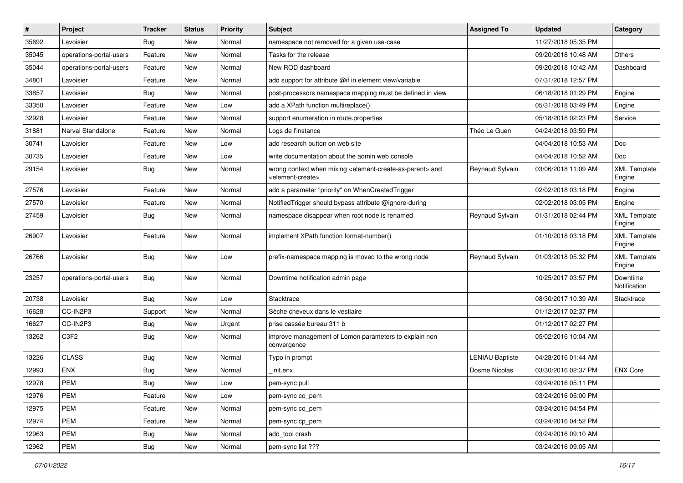| $\sharp$ | Project                 | <b>Tracker</b> | <b>Status</b> | <b>Priority</b> | <b>Subject</b>                                                                                                            | <b>Assigned To</b>     | <b>Updated</b>      | Category                      |
|----------|-------------------------|----------------|---------------|-----------------|---------------------------------------------------------------------------------------------------------------------------|------------------------|---------------------|-------------------------------|
| 35692    | Lavoisier               | Bug            | <b>New</b>    | Normal          | namespace not removed for a given use-case                                                                                |                        | 11/27/2018 05:35 PM |                               |
| 35045    | operations-portal-users | Feature        | <b>New</b>    | Normal          | Tasks for the release                                                                                                     |                        | 09/20/2018 10:48 AM | Others                        |
| 35044    | operations-portal-users | Feature        | <b>New</b>    | Normal          | New ROD dashboard                                                                                                         |                        | 09/20/2018 10:42 AM | Dashboard                     |
| 34801    | _avoisier               | Feature        | <b>New</b>    | Normal          | add support for attribute @if in element view/variable                                                                    |                        | 07/31/2018 12:57 PM |                               |
| 33857    | Lavoisier               | Bug            | <b>New</b>    | Normal          | post-processors namespace mapping must be defined in view                                                                 |                        | 06/18/2018 01:29 PM | Engine                        |
| 33350    | _avoisier               | Feature        | <b>New</b>    | Low             | add a XPath function multireplace()                                                                                       |                        | 05/31/2018 03:49 PM | Engine                        |
| 32928    | Lavoisier               | Feature        | New           | Normal          | support enumeration in route properties                                                                                   |                        | 05/18/2018 02:23 PM | Service                       |
| 31881    | Narval Standalone       | Feature        | <b>New</b>    | Normal          | Logs de l'instance                                                                                                        | Théo Le Guen           | 04/24/2018 03:59 PM |                               |
| 30741    | Lavoisier               | Feature        | <b>New</b>    | Low             | add research button on web site                                                                                           |                        | 04/04/2018 10:53 AM | Doc                           |
| 30735    | Lavoisier               | Feature        | <b>New</b>    | Low             | write documentation about the admin web console                                                                           |                        | 04/04/2018 10:52 AM | Doc                           |
| 29154    | Lavoisier               | Bug            | <b>New</b>    | Normal          | wrong context when mixing <element-create-as-parent> and<br/><element-create></element-create></element-create-as-parent> | Reynaud Sylvain        | 03/06/2018 11:09 AM | <b>XML Template</b><br>Engine |
| 27576    | Lavoisier               | Feature        | <b>New</b>    | Normal          | add a parameter "priority" on WhenCreatedTrigger                                                                          |                        | 02/02/2018 03:18 PM | Engine                        |
| 27570    | Lavoisier               | Feature        | <b>New</b>    | Normal          | NotifiedTrigger should bypass attribute @ignore-during                                                                    |                        | 02/02/2018 03:05 PM | Engine                        |
| 27459    | Lavoisier               | <b>Bug</b>     | <b>New</b>    | Normal          | namespace disappear when root node is renamed                                                                             | Reynaud Sylvain        | 01/31/2018 02:44 PM | <b>XML Template</b><br>Engine |
| 26907    | Lavoisier               | Feature        | <b>New</b>    | Normal          | implement XPath function format-number()                                                                                  |                        | 01/10/2018 03:18 PM | <b>XML Template</b><br>Engine |
| 26766    | Lavoisier               | Bug            | <b>New</b>    | Low             | prefix-namespace mapping is moved to the wrong node                                                                       | Reynaud Sylvain        | 01/03/2018 05:32 PM | <b>XML Template</b><br>Engine |
| 23257    | operations-portal-users | Bug            | <b>New</b>    | Normal          | Downtime notification admin page                                                                                          |                        | 10/25/2017 03:57 PM | Downtime<br>Notification      |
| 20738    | Lavoisier               | Bug            | <b>New</b>    | Low             | Stacktrace                                                                                                                |                        | 08/30/2017 10:39 AM | Stacktrace                    |
| 16628    | CC-IN2P3                | Support        | <b>New</b>    | Normal          | Sèche cheveux dans le vestiaire                                                                                           |                        | 01/12/2017 02:37 PM |                               |
| 16627    | CC-IN2P3                | Bug            | <b>New</b>    | Urgent          | prise cassée bureau 311 b                                                                                                 |                        | 01/12/2017 02:27 PM |                               |
| 13262    | C <sub>3F2</sub>        | Bug            | <b>New</b>    | Normal          | improve management of Lomon parameters to explain non<br>convergence                                                      |                        | 05/02/2016 10:04 AM |                               |
| 13226    | <b>CLASS</b>            | <b>Bug</b>     | <b>New</b>    | Normal          | Typo in prompt                                                                                                            | <b>LENIAU Baptiste</b> | 04/28/2016 01:44 AM |                               |
| 12993    | <b>ENX</b>              | <b>Bug</b>     | <b>New</b>    | Normal          | init.enx                                                                                                                  | Dosme Nicolas          | 03/30/2016 02:37 PM | <b>ENX Core</b>               |
| 12978    | <b>PEM</b>              | i Bug          | <b>New</b>    | Low             | pem-sync pull                                                                                                             |                        | 03/24/2016 05:11 PM |                               |
| 12976    | PEM                     | Feature        | New           | Low             | pem-sync co_pem                                                                                                           |                        | 03/24/2016 05:00 PM |                               |
| 12975    | PEM                     | Feature        | New           | Normal          | pem-sync co_pem                                                                                                           |                        | 03/24/2016 04:54 PM |                               |
| 12974    | PEM                     | Feature        | New           | Normal          | pem-sync cp_pem                                                                                                           |                        | 03/24/2016 04:52 PM |                               |
| 12963    | PEM                     | <b>Bug</b>     | New           | Normal          | add tool crash                                                                                                            |                        | 03/24/2016 09:10 AM |                               |
| 12962    | <b>PEM</b>              | Bug            | New           | Normal          | pem-sync list ???                                                                                                         |                        | 03/24/2016 09:05 AM |                               |